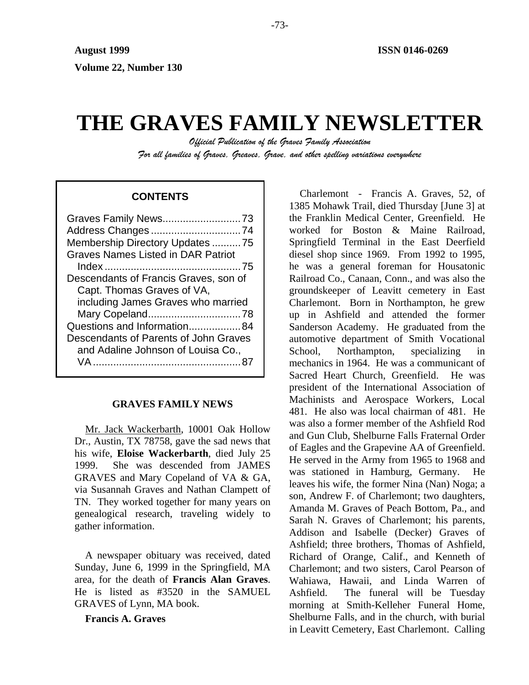# **THE GRAVES FAMILY NEWSLETTER**

*Official Publication of the Graves Family Association For all families of Graves, Greaves, Grave, and other spelling variations everywhere* 

# **CONTENTS**

| Graves Family News73                      |
|-------------------------------------------|
|                                           |
| Membership Directory Updates 75           |
| <b>Graves Names Listed in DAR Patriot</b> |
|                                           |
| Descendants of Francis Graves, son of     |
| Capt. Thomas Graves of VA,                |
| including James Graves who married        |
| Mary Copeland78                           |
| Questions and Information84               |
| Descendants of Parents of John Graves     |
| and Adaline Johnson of Louisa Co.,        |
| VA                                        |
|                                           |

# **GRAVES FAMILY NEWS**

Mr. Jack Wackerbarth, 10001 Oak Hollow Dr., Austin, TX 78758, gave the sad news that his wife, **Eloise Wackerbarth**, died July 25 1999. She was descended from JAMES GRAVES and Mary Copeland of VA & GA, via Susannah Graves and Nathan Clampett of TN. They worked together for many years on genealogical research, traveling widely to gather information.

A newspaper obituary was received, dated Sunday, June 6, 1999 in the Springfield, MA area, for the death of **Francis Alan Graves**. He is listed as #3520 in the SAMUEL GRAVES of Lynn, MA book.

**Francis A. Graves** 

Charlemont - Francis A. Graves, 52, of 1385 Mohawk Trail, died Thursday [June 3] at the Franklin Medical Center, Greenfield. He worked for Boston & Maine Railroad, Springfield Terminal in the East Deerfield diesel shop since 1969. From 1992 to 1995, he was a general foreman for Housatonic Railroad Co., Canaan, Conn., and was also the groundskeeper of Leavitt cemetery in East Charlemont. Born in Northampton, he grew up in Ashfield and attended the former Sanderson Academy. He graduated from the automotive department of Smith Vocational School, Northampton, specializing in mechanics in 1964. He was a communicant of Sacred Heart Church, Greenfield. He was president of the International Association of Machinists and Aerospace Workers, Local 481. He also was local chairman of 481. He was also a former member of the Ashfield Rod and Gun Club, Shelburne Falls Fraternal Order of Eagles and the Grapevine AA of Greenfield. He served in the Army from 1965 to 1968 and was stationed in Hamburg, Germany. He leaves his wife, the former Nina (Nan) Noga; a son, Andrew F. of Charlemont; two daughters, Amanda M. Graves of Peach Bottom, Pa., and Sarah N. Graves of Charlemont; his parents, Addison and Isabelle (Decker) Graves of Ashfield; three brothers, Thomas of Ashfield, Richard of Orange, Calif., and Kenneth of Charlemont; and two sisters, Carol Pearson of Wahiawa, Hawaii, and Linda Warren of Ashfield. The funeral will be Tuesday morning at Smith-Kelleher Funeral Home, Shelburne Falls, and in the church, with burial in Leavitt Cemetery, East Charlemont. Calling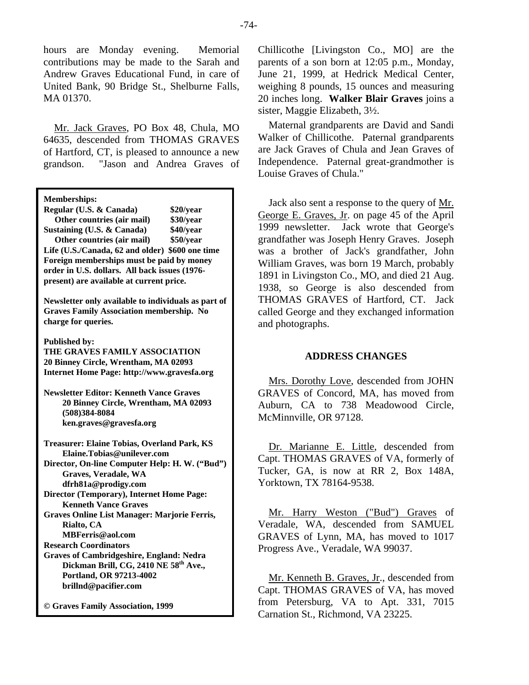hours are Monday evening. Memorial contributions may be made to the Sarah and Andrew Graves Educational Fund, in care of United Bank, 90 Bridge St., Shelburne Falls, MA 01370.

Mr. Jack Graves, PO Box 48, Chula, MO 64635, descended from THOMAS GRAVES of Hartford, CT, is pleased to announce a new grandson. "Jason and Andrea Graves of

**Memberships:** 

| Regular (U.S. & Canada)                         | \$20/year |
|-------------------------------------------------|-----------|
| Other countries (air mail)                      | \$30/year |
| Sustaining (U.S. & Canada)                      | \$40/year |
| Other countries (air mail)                      | \$50/year |
| Life (U.S./Canada, 62 and older) \$600 one time |           |
| Foreign memberships must be paid by money       |           |
| order in U.S. dollars. All back issues (1976-   |           |
| present) are available at current price.        |           |

**Newsletter only available to individuals as part of Graves Family Association membership. No charge for queries.** 

**Published by:** 

**THE GRAVES FAMILY ASSOCIATION 20 Binney Circle, Wrentham, MA 02093 Internet Home Page: http://www.gravesfa.org** 

**Newsletter Editor: Kenneth Vance Graves 20 Binney Circle, Wrentham, MA 02093 (508)384-8084 ken.graves@gravesfa.org** 

**Treasurer: Elaine Tobias, Overland Park, KS Elaine.Tobias@unilever.com Director, On-line Computer Help: H. W. ("Bud") Graves, Veradale, WA dfrh81a@prodigy.com Director (Temporary), Internet Home Page: Kenneth Vance Graves** 

**Graves Online List Manager: Marjorie Ferris, Rialto, CA** 

 **MBFerris@aol.com** 

**Research Coordinators** 

**Graves of Cambridgeshire, England: Nedra Dickman Brill, CG, 2410 NE 58th Ave., Portland, OR 97213-4002 brillnd@pacifier.com** 

**© Graves Family Association, 1999**

Chillicothe [Livingston Co., MO] are the parents of a son born at 12:05 p.m., Monday, June 21, 1999, at Hedrick Medical Center, weighing 8 pounds, 15 ounces and measuring 20 inches long. **Walker Blair Graves** joins a sister, Maggie Elizabeth, 3½.

Maternal grandparents are David and Sandi Walker of Chillicothe. Paternal grandparents are Jack Graves of Chula and Jean Graves of Independence. Paternal great-grandmother is Louise Graves of Chula."

Jack also sent a response to the query of Mr. George E. Graves, Jr. on page 45 of the April 1999 newsletter. Jack wrote that George's grandfather was Joseph Henry Graves. Joseph was a brother of Jack's grandfather, John William Graves, was born 19 March, probably 1891 in Livingston Co., MO, and died 21 Aug. 1938, so George is also descended from THOMAS GRAVES of Hartford, CT. Jack called George and they exchanged information and photographs.

# **ADDRESS CHANGES**

Mrs. Dorothy Love, descended from JOHN GRAVES of Concord, MA, has moved from Auburn, CA to 738 Meadowood Circle, McMinnville, OR 97128.

Dr. Marianne E. Little, descended from Capt. THOMAS GRAVES of VA, formerly of Tucker, GA, is now at RR 2, Box 148A, Yorktown, TX 78164-9538.

Mr. Harry Weston ("Bud") Graves of Veradale, WA, descended from SAMUEL GRAVES of Lynn, MA, has moved to 1017 Progress Ave., Veradale, WA 99037.

Mr. Kenneth B. Graves, Jr., descended from Capt. THOMAS GRAVES of VA, has moved from Petersburg, VA to Apt. 331, 7015 Carnation St., Richmond, VA 23225.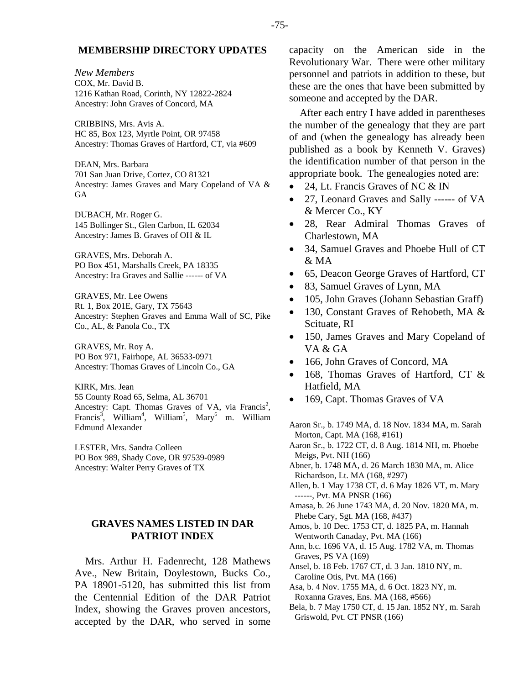# **MEMBERSHIP DIRECTORY UPDATES**

*New Members*  COX, Mr. David B. 1216 Kathan Road, Corinth, NY 12822-2824 Ancestry: John Graves of Concord, MA

CRIBBINS, Mrs. Avis A. HC 85, Box 123, Myrtle Point, OR 97458 Ancestry: Thomas Graves of Hartford, CT, via #609

DEAN, Mrs. Barbara 701 San Juan Drive, Cortez, CO 81321 Ancestry: James Graves and Mary Copeland of VA & GA

DUBACH, Mr. Roger G. 145 Bollinger St., Glen Carbon, IL 62034 Ancestry: James B. Graves of OH & IL

GRAVES, Mrs. Deborah A. PO Box 451, Marshalls Creek, PA 18335 Ancestry: Ira Graves and Sallie ------ of VA

GRAVES, Mr. Lee Owens Rt. 1, Box 201E, Gary, TX 75643 Ancestry: Stephen Graves and Emma Wall of SC, Pike Co., AL, & Panola Co., TX

GRAVES, Mr. Roy A. PO Box 971, Fairhope, AL 36533-0971 Ancestry: Thomas Graves of Lincoln Co., GA

KIRK, Mrs. Jean 55 County Road 65, Selma, AL 36701 Ancestry: Capt. Thomas Graves of VA, via Francis<sup>2</sup>, Francis<sup>3</sup>, William<sup>4</sup>, William<sup>5</sup>, Mary<sup>6</sup> m. William Edmund Alexander

LESTER, Mrs. Sandra Colleen PO Box 989, Shady Cove, OR 97539-0989 Ancestry: Walter Perry Graves of TX

# **GRAVES NAMES LISTED IN DAR PATRIOT INDEX**

Mrs. Arthur H. Fadenrecht, 128 Mathews Ave., New Britain, Doylestown, Bucks Co., PA 18901-5120, has submitted this list from the Centennial Edition of the DAR Patriot Index, showing the Graves proven ancestors, accepted by the DAR, who served in some capacity on the American side in the Revolutionary War. There were other military personnel and patriots in addition to these, but these are the ones that have been submitted by someone and accepted by the DAR.

After each entry I have added in parentheses the number of the genealogy that they are part of and (when the genealogy has already been published as a book by Kenneth V. Graves) the identification number of that person in the appropriate book. The genealogies noted are:

- 24, Lt. Francis Graves of NC & IN
- 27, Leonard Graves and Sally ------ of VA & Mercer Co., KY
- 28, Rear Admiral Thomas Graves of Charlestown, MA
- 34, Samuel Graves and Phoebe Hull of CT  $\&$  MA
- 65, Deacon George Graves of Hartford, CT
- 83, Samuel Graves of Lynn, MA
- 105, John Graves (Johann Sebastian Graff)
- 130, Constant Graves of Rehobeth, MA & Scituate, RI
- 150, James Graves and Mary Copeland of VA & GA
- 166, John Graves of Concord, MA
- 168, Thomas Graves of Hartford, CT & Hatfield, MA
- 169, Capt. Thomas Graves of VA

Aaron Sr., b. 1749 MA, d. 18 Nov. 1834 MA, m. Sarah Morton, Capt. MA (168, #161)

- Aaron Sr., b. 1722 CT, d. 8 Aug. 1814 NH, m. Phoebe Meigs, Pvt. NH (166)
- Abner, b. 1748 MA, d. 26 March 1830 MA, m. Alice Richardson, Lt. MA (168, #297)
- Allen, b. 1 May 1738 CT, d. 6 May 1826 VT, m. Mary ------, Pvt. MA PNSR (166)
- Amasa, b. 26 June 1743 MA, d. 20 Nov. 1820 MA, m. Phebe Cary, Sgt. MA (168, #437)
- Amos, b. 10 Dec. 1753 CT, d. 1825 PA, m. Hannah Wentworth Canaday, Pvt. MA (166)
- Ann, b.c. 1696 VA, d. 15 Aug. 1782 VA, m. Thomas Graves, PS VA (169)
- Ansel, b. 18 Feb. 1767 CT, d. 3 Jan. 1810 NY, m. Caroline Otis, Pvt. MA (166)
- Asa, b. 4 Nov. 1755 MA, d. 6 Oct. 1823 NY, m. Roxanna Graves, Ens. MA (168, #566)
- Bela, b. 7 May 1750 CT, d. 15 Jan. 1852 NY, m. Sarah Griswold, Pvt. CT PNSR (166)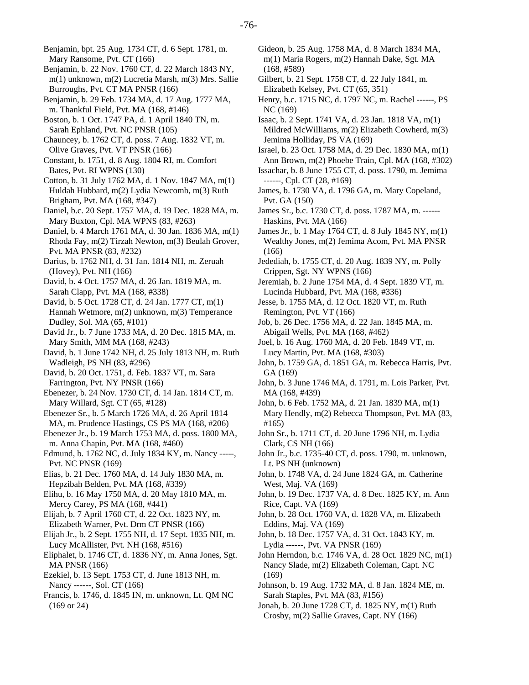Benjamin, bpt. 25 Aug. 1734 CT, d. 6 Sept. 1781, m. Mary Ransome, Pvt. CT (166)

- Benjamin, b. 22 Nov. 1760 CT, d. 22 March 1843 NY, m(1) unknown, m(2) Lucretia Marsh, m(3) Mrs. Sallie Burroughs, Pvt. CT MA PNSR (166)
- Benjamin, b. 29 Feb. 1734 MA, d. 17 Aug. 1777 MA, m. Thankful Field, Pvt. MA (168, #146)
- Boston, b. 1 Oct. 1747 PA, d. 1 April 1840 TN, m. Sarah Ephland, Pvt. NC PNSR (105)
- Chauncey, b. 1762 CT, d. poss. 7 Aug. 1832 VT, m. Olive Graves, Pvt. VT PNSR (166)
- Constant, b. 1751, d. 8 Aug. 1804 RI, m. Comfort Bates, Pvt. RI WPNS (130)
- Cotton, b. 31 July 1762 MA, d. 1 Nov. 1847 MA, m(1) Huldah Hubbard, m(2) Lydia Newcomb, m(3) Ruth Brigham, Pvt. MA (168, #347)
- Daniel, b.c. 20 Sept. 1757 MA, d. 19 Dec. 1828 MA, m. Mary Buxton, Cpl. MA WPNS (83, #263)
- Daniel, b. 4 March 1761 MA, d. 30 Jan. 1836 MA, m(1) Rhoda Fay, m(2) Tirzah Newton, m(3) Beulah Grover, Pvt. MA PNSR (83, #232)
- Darius, b. 1762 NH, d. 31 Jan. 1814 NH, m. Zeruah (Hovey), Pvt. NH (166)
- David, b. 4 Oct. 1757 MA, d. 26 Jan. 1819 MA, m. Sarah Clapp, Pvt. MA (168, #338)
- David, b. 5 Oct. 1728 CT, d. 24 Jan. 1777 CT, m(1) Hannah Wetmore, m(2) unknown, m(3) Temperance Dudley, Sol. MA (65, #101)
- David Jr., b. 7 June 1733 MA, d. 20 Dec. 1815 MA, m. Mary Smith, MM MA (168, #243)
- David, b. 1 June 1742 NH, d. 25 July 1813 NH, m. Ruth Wadleigh, PS NH (83, #296)
- David, b. 20 Oct. 1751, d. Feb. 1837 VT, m. Sara Farrington, Pvt. NY PNSR (166)
- Ebenezer, b. 24 Nov. 1730 CT, d. 14 Jan. 1814 CT, m. Mary Willard, Sgt. CT (65, #128)
- Ebenezer Sr., b. 5 March 1726 MA, d. 26 April 1814 MA, m. Prudence Hastings, CS PS MA (168, #206)
- Ebenezer Jr., b. 19 March 1753 MA, d. poss. 1800 MA, m. Anna Chapin, Pvt. MA (168, #460)
- Edmund, b. 1762 NC, d. July 1834 KY, m. Nancy -----, Pvt. NC PNSR (169)
- Elias, b. 21 Dec. 1760 MA, d. 14 July 1830 MA, m. Hepzibah Belden, Pvt. MA (168, #339)

Elihu, b. 16 May 1750 MA, d. 20 May 1810 MA, m. Mercy Carey, PS MA (168, #441)

- Elijah, b. 7 April 1760 CT, d. 22 Oct. 1823 NY, m. Elizabeth Warner, Pvt. Drm CT PNSR (166)
- Elijah Jr., b. 2 Sept. 1755 NH, d. 17 Sept. 1835 NH, m. Lucy McAllister, Pvt. NH (168, #516)
- Eliphalet, b. 1746 CT, d. 1836 NY, m. Anna Jones, Sgt. MA PNSR (166)
- Ezekiel, b. 13 Sept. 1753 CT, d. June 1813 NH, m. Nancy ------, Sol. CT (166)
- Francis, b. 1746, d. 1845 IN, m. unknown, Lt. QM NC (169 or 24)
- Gideon, b. 25 Aug. 1758 MA, d. 8 March 1834 MA, m(1) Maria Rogers, m(2) Hannah Dake, Sgt. MA (168, #589)
- Gilbert, b. 21 Sept. 1758 CT, d. 22 July 1841, m. Elizabeth Kelsey, Pvt. CT (65, 351)
- Henry, b.c. 1715 NC, d. 1797 NC, m. Rachel ------, PS NC (169)
- Isaac, b. 2 Sept. 1741 VA, d. 23 Jan. 1818 VA, m(1) Mildred McWilliams, m(2) Elizabeth Cowherd, m(3) Jemima Holliday, PS VA (169)
- Israel, b. 23 Oct. 1758 MA, d. 29 Dec. 1830 MA, m(1) Ann Brown, m(2) Phoebe Train, Cpl. MA (168, #302)
- Issachar, b. 8 June 1755 CT, d. poss. 1790, m. Jemima ------, Cpl. CT (28, #169)
- James, b. 1730 VA, d. 1796 GA, m. Mary Copeland, Pvt. GA (150)
- James Sr., b.c. 1730 CT, d. poss. 1787 MA, m. ------ Haskins, Pvt. MA (166)
- James Jr., b. 1 May 1764 CT, d. 8 July 1845 NY, m(1) Wealthy Jones, m(2) Jemima Acom, Pvt. MA PNSR (166)
- Jedediah, b. 1755 CT, d. 20 Aug. 1839 NY, m. Polly Crippen, Sgt. NY WPNS (166)
- Jeremiah, b. 2 June 1754 MA, d. 4 Sept. 1839 VT, m. Lucinda Hubbard, Pvt. MA (168, #336)
- Jesse, b. 1755 MA, d. 12 Oct. 1820 VT, m. Ruth Remington, Pvt. VT (166)
- Job, b. 26 Dec. 1756 MA, d. 22 Jan. 1845 MA, m. Abigail Wells, Pvt. MA (168, #462)
- Joel, b. 16 Aug. 1760 MA, d. 20 Feb. 1849 VT, m. Lucy Martin, Pvt. MA (168, #303)
- John, b. 1759 GA, d. 1851 GA, m. Rebecca Harris, Pvt. GA (169)
- John, b. 3 June 1746 MA, d. 1791, m. Lois Parker, Pvt. MA (168, #439)
- John, b. 6 Feb. 1752 MA, d. 21 Jan. 1839 MA, m(1) Mary Hendly, m(2) Rebecca Thompson, Pvt. MA (83, #165)
- John Sr., b. 1711 CT, d. 20 June 1796 NH, m. Lydia Clark, CS NH (166)
- John Jr., b.c. 1735-40 CT, d. poss. 1790, m. unknown, Lt. PS NH (unknown)
- John, b. 1748 VA, d. 24 June 1824 GA, m. Catherine West, Maj. VA (169)
- John, b. 19 Dec. 1737 VA, d. 8 Dec. 1825 KY, m. Ann Rice, Capt. VA (169)
- John, b. 28 Oct. 1760 VA, d. 1828 VA, m. Elizabeth Eddins, Maj. VA (169)
- John, b. 18 Dec. 1757 VA, d. 31 Oct. 1843 KY, m. Lydia ------, Pvt. VA PNSR (169)
- John Herndon, b.c. 1746 VA, d. 28 Oct. 1829 NC, m(1) Nancy Slade, m(2) Elizabeth Coleman, Capt. NC (169)
- Johnson, b. 19 Aug. 1732 MA, d. 8 Jan. 1824 ME, m. Sarah Staples, Pvt. MA (83, #156)
- Jonah, b. 20 June 1728 CT, d. 1825 NY, m(1) Ruth Crosby, m(2) Sallie Graves, Capt. NY (166)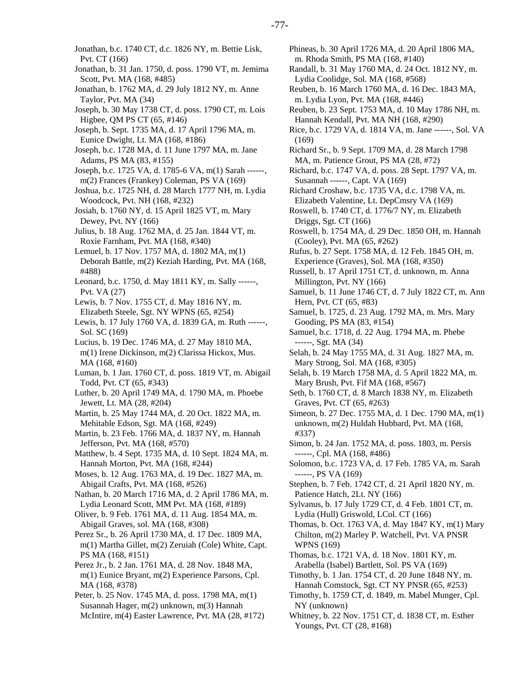Jonathan, b.c. 1740 CT, d.c. 1826 NY, m. Bettie Lisk, Pvt. CT (166)

Jonathan, b. 31 Jan. 1750, d. poss. 1790 VT, m. Jemima Scott, Pvt. MA (168, #485)

Jonathan, b. 1762 MA, d. 29 July 1812 NY, m. Anne Taylor, Pvt. MA (34)

Joseph, b. 30 May 1738 CT, d. poss. 1790 CT, m. Lois Higbee, QM PS CT (65, #146)

Joseph, b. Sept. 1735 MA, d. 17 April 1796 MA, m. Eunice Dwight, Lt. MA (168, #186)

Joseph, b.c. 1728 MA, d. 11 June 1797 MA, m. Jane Adams, PS MA (83, #155)

Joseph, b.c. 1725 VA, d. 1785-6 VA, m(1) Sarah ------, m(2) Frances (Frankey) Coleman, PS VA (169)

Joshua, b.c. 1725 NH, d. 28 March 1777 NH, m. Lydia Woodcock, Pvt. NH (168, #232)

Josiah, b. 1760 NY, d. 15 April 1825 VT, m. Mary Dewey, Pvt. NY (166)

Julius, b. 18 Aug. 1762 MA, d. 25 Jan. 1844 VT, m. Roxie Farnham, Pvt. MA (168, #340)

Lemuel, b. 17 Nov. 1757 MA, d. 1802 MA, m(1) Deborah Battle, m(2) Keziah Harding, Pvt. MA (168, #488)

Leonard, b.c. 1750, d. May 1811 KY, m. Sally ------, Pvt. VA (27)

Lewis, b. 7 Nov. 1755 CT, d. May 1816 NY, m. Elizabeth Steele, Sgt. NY WPNS (65, #254)

Lewis, b. 17 July 1760 VA, d. 1839 GA, m. Ruth ------, Sol. SC (169)

Lucius, b. 19 Dec. 1746 MA, d. 27 May 1810 MA, m(1) Irene Dickinson, m(2) Clarissa Hickox, Mus. MA (168, #160)

Luman, b. 1 Jan. 1760 CT, d. poss. 1819 VT, m. Abigail Todd, Pvt. CT (65, #343)

Luther, b. 20 April 1749 MA, d. 1790 MA, m. Phoebe Jewett, Lt. MA (28, #204)

Martin, b. 25 May 1744 MA, d. 20 Oct. 1822 MA, m. Mehitable Edson, Sgt. MA (168, #249)

Martin, b. 23 Feb. 1766 MA, d. 1837 NY, m. Hannah Jefferson, Pvt. MA (168, #570)

Matthew, b. 4 Sept. 1735 MA, d. 10 Sept. 1824 MA, m. Hannah Morton, Pvt. MA (168, #244)

Moses, b. 12 Aug. 1763 MA, d. 19 Dec. 1827 MA, m. Abigail Crafts, Pvt. MA (168, #526)

Nathan, b. 20 March 1716 MA, d. 2 April 1786 MA, m. Lydia Leonard Scott, MM Pvt. MA (168, #189)

Oliver, b. 9 Feb. 1761 MA, d. 11 Aug. 1854 MA, m. Abigail Graves, sol. MA (168, #308)

Perez Sr., b. 26 April 1730 MA, d. 17 Dec. 1809 MA, m(1) Martha Gillet, m(2) Zeruiah (Cole) White, Capt. PS MA (168, #151)

Perez Jr., b. 2 Jan. 1761 MA, d. 28 Nov. 1848 MA, m(1) Eunice Bryant, m(2) Experience Parsons, Cpl. MA (168, #378)

Peter, b. 25 Nov. 1745 MA, d. poss. 1798 MA, m(1) Susannah Hager, m(2) unknown, m(3) Hannah McIntire, m(4) Easter Lawrence, Pvt. MA (28, #172) Phineas, b. 30 April 1726 MA, d. 20 April 1806 MA, m. Rhoda Smith, PS MA (168, #140) Randall, b. 31 May 1760 MA, d. 24 Oct. 1812 NY, m. Lydia Coolidge, Sol. MA (168, #568) Reuben, b. 16 March 1760 MA, d. 16 Dec. 1843 MA, m. Lydia Lyon, Pvt. MA (168, #446) Reuben, b. 23 Sept. 1753 MA, d. 10 May 1786 NH, m. Hannah Kendall, Pvt. MA NH (168, #290) Rice, b.c. 1729 VA, d. 1814 VA, m. Jane ------, Sol. VA (169) Richard Sr., b. 9 Sept. 1709 MA, d. 28 March 1798 MA, m. Patience Grout, PS MA (28, #72) Richard, b.c. 1747 VA, d. poss. 28 Sept. 1797 VA, m. Susannah ------, Capt. VA (169) Richard Croshaw, b.c. 1735 VA, d.c. 1798 VA, m. Elizabeth Valentine, Lt. DepCmsry VA (169) Roswell, b. 1740 CT, d. 1776/7 NY, m. Elizabeth Driggs, Sgt. CT (166) Roswell, b. 1754 MA, d. 29 Dec. 1850 OH, m. Hannah (Cooley), Pvt. MA (65, #262) Rufus, b. 27 Sept. 1758 MA, d. 12 Feb. 1845 OH, m. Experience (Graves), Sol. MA (168, #350) Russell, b. 17 April 1751 CT, d. unknown, m. Anna Millington, Pvt. NY (166) Samuel, b. 11 June 1746 CT, d. 7 July 1822 CT, m. Ann Hern, Pvt. CT (65, #83) Samuel, b. 1725, d. 23 Aug. 1792 MA, m. Mrs. Mary Gooding, PS MA (83, #154) Samuel, b.c. 1718, d. 22 Aug. 1794 MA, m. Phebe ------, Sgt. MA (34) Selah, b. 24 May 1755 MA, d. 31 Aug. 1827 MA, m. Mary Strong, Sol. MA (168, #305) Selah, b. 19 March 1758 MA, d. 5 April 1822 MA, m. Mary Brush, Pvt. Fif MA (168, #567) Seth, b. 1760 CT, d. 8 March 1838 NY, m. Elizabeth Graves, Pvt. CT (65, #263) Simeon, b. 27 Dec. 1755 MA, d. 1 Dec. 1790 MA, m(1) unknown, m(2) Huldah Hubbard, Pvt. MA (168, #337) Simon, b. 24 Jan. 1752 MA, d. poss. 1803, m. Persis ------, Cpl. MA (168, #486) Solomon, b.c. 1723 VA, d. 17 Feb. 1785 VA, m. Sarah ------, PS VA (169) Stephen, b. 7 Feb. 1742 CT, d. 21 April 1820 NY, m. Patience Hatch, 2Lt. NY (166) Sylvanus, b. 17 July 1729 CT, d. 4 Feb. 1801 CT, m. Lydia (Hull) Griswold, LCol. CT (166) Thomas, b. Oct. 1763 VA, d. May 1847 KY, m(1) Mary Chilton, m(2) Marley P. Watchell, Pvt. VA PNSR WPNS (169) Thomas, b.c. 1721 VA, d. 18 Nov. 1801 KY, m. Arabella (Isabel) Bartlett, Sol. PS VA (169) Timothy, b. 1 Jan. 1754 CT, d. 20 June 1848 NY, m. Hannah Comstock, Sgt. CT NY PNSR (65, #253) Timothy, b. 1759 CT, d. 1849, m. Mabel Munger, Cpl. NY (unknown)

Whitney, b. 22 Nov. 1751 CT, d. 1838 CT, m. Esther Youngs, Pvt. CT (28, #168)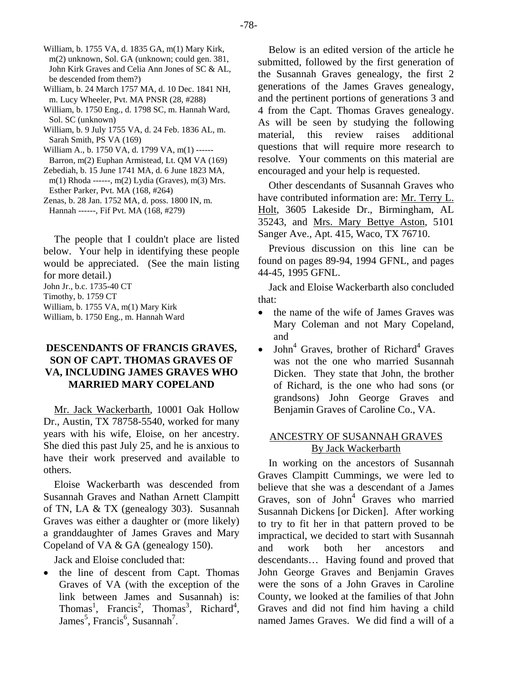- William, b. 1755 VA, d. 1835 GA, m(1) Mary Kirk, m(2) unknown, Sol. GA (unknown; could gen. 381, John Kirk Graves and Celia Ann Jones of SC & AL, be descended from them?)
- William, b. 24 March 1757 MA, d. 10 Dec. 1841 NH, m. Lucy Wheeler, Pvt. MA PNSR (28, #288)
- William, b. 1750 Eng., d. 1798 SC, m. Hannah Ward, Sol. SC (unknown)
- William, b. 9 July 1755 VA, d. 24 Feb. 1836 AL, m. Sarah Smith, PS VA (169)
- William A., b. 1750 VA, d. 1799 VA, m(1) ------ Barron, m(2) Euphan Armistead, Lt. QM VA (169)
- Zebediah, b. 15 June 1741 MA, d. 6 June 1823 MA, m(1) Rhoda ------, m(2) Lydia (Graves), m(3) Mrs. Esther Parker, Pvt. MA (168, #264)
- Zenas, b. 28 Jan. 1752 MA, d. poss. 1800 IN, m. Hannah ------, Fif Pvt. MA (168, #279)

The people that I couldn't place are listed below. Your help in identifying these people would be appreciated. (See the main listing for more detail.) John Jr., b.c. 1735-40 CT Timothy, b. 1759 CT William, b. 1755 VA, m(1) Mary Kirk

William, b. 1750 Eng., m. Hannah Ward

# **DESCENDANTS OF FRANCIS GRAVES, SON OF CAPT. THOMAS GRAVES OF VA, INCLUDING JAMES GRAVES WHO MARRIED MARY COPELAND**

Mr. Jack Wackerbarth, 10001 Oak Hollow Dr., Austin, TX 78758-5540, worked for many years with his wife, Eloise, on her ancestry. She died this past July 25, and he is anxious to have their work preserved and available to others.

Eloise Wackerbarth was descended from Susannah Graves and Nathan Arnett Clampitt of TN, LA & TX (genealogy 303). Susannah Graves was either a daughter or (more likely) a granddaughter of James Graves and Mary Copeland of VA & GA (genealogy 150).

Jack and Eloise concluded that:

• the line of descent from Capt. Thomas Graves of VA (with the exception of the link between James and Susannah) is: Thomas<sup>1</sup>, Francis<sup>2</sup>, Thomas<sup>3</sup>, Richard<sup>4</sup>, James<sup>5</sup>, Francis<sup>6</sup>, Susannah<sup>7</sup>.

Below is an edited version of the article he submitted, followed by the first generation of the Susannah Graves genealogy, the first 2 generations of the James Graves genealogy, and the pertinent portions of generations 3 and 4 from the Capt. Thomas Graves genealogy. As will be seen by studying the following material, this review raises additional questions that will require more research to resolve. Your comments on this material are encouraged and your help is requested.

Other descendants of Susannah Graves who have contributed information are: Mr. Terry L. Holt, 3605 Lakeside Dr., Birmingham, AL 35243, and Mrs. Mary Bettye Aston, 5101 Sanger Ave., Apt. 415, Waco, TX 76710.

Previous discussion on this line can be found on pages 89-94, 1994 GFNL, and pages 44-45, 1995 GFNL.

Jack and Eloise Wackerbarth also concluded that:

- the name of the wife of James Graves was Mary Coleman and not Mary Copeland, and
- $\bullet$  John<sup>4</sup> Graves, brother of Richard<sup>4</sup> Graves was not the one who married Susannah Dicken. They state that John, the brother of Richard, is the one who had sons (or grandsons) John George Graves and Benjamin Graves of Caroline Co., VA.

# ANCESTRY OF SUSANNAH GRAVES By Jack Wackerbarth

In working on the ancestors of Susannah Graves Clampitt Cummings, we were led to believe that she was a descendant of a James Graves, son of John<sup>4</sup> Graves who married Susannah Dickens [or Dicken]. After working to try to fit her in that pattern proved to be impractical, we decided to start with Susannah and work both her ancestors and descendants… Having found and proved that John George Graves and Benjamin Graves were the sons of a John Graves in Caroline County, we looked at the families of that John Graves and did not find him having a child named James Graves. We did find a will of a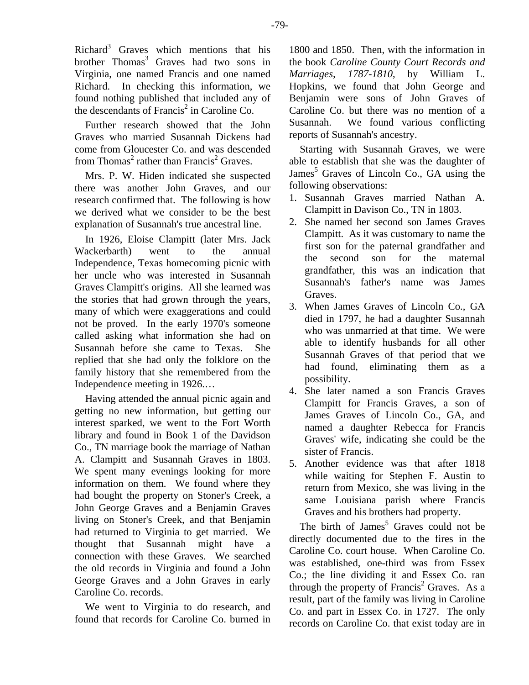Richard<sup>3</sup> Graves which mentions that his brother Thomas<sup>3</sup> Graves had two sons in Virginia, one named Francis and one named Richard. In checking this information, we found nothing published that included any of the descendants of Francis<sup>2</sup> in Caroline Co.

Further research showed that the John Graves who married Susannah Dickens had come from Gloucester Co. and was descended from Thomas<sup>2</sup> rather than Francis<sup>2</sup> Graves.

Mrs. P. W. Hiden indicated she suspected there was another John Graves, and our research confirmed that. The following is how we derived what we consider to be the best explanation of Susannah's true ancestral line.

In 1926, Eloise Clampitt (later Mrs. Jack Wackerbarth) went to the annual Independence, Texas homecoming picnic with her uncle who was interested in Susannah Graves Clampitt's origins. All she learned was the stories that had grown through the years, many of which were exaggerations and could not be proved. In the early 1970's someone called asking what information she had on Susannah before she came to Texas. She replied that she had only the folklore on the family history that she remembered from the Independence meeting in 1926.…

Having attended the annual picnic again and getting no new information, but getting our interest sparked, we went to the Fort Worth library and found in Book 1 of the Davidson Co., TN marriage book the marriage of Nathan A. Clampitt and Susannah Graves in 1803. We spent many evenings looking for more information on them. We found where they had bought the property on Stoner's Creek, a John George Graves and a Benjamin Graves living on Stoner's Creek, and that Benjamin had returned to Virginia to get married. We thought that Susannah might have a connection with these Graves. We searched the old records in Virginia and found a John George Graves and a John Graves in early Caroline Co. records.

We went to Virginia to do research, and found that records for Caroline Co. burned in

1800 and 1850. Then, with the information in the book *Caroline County Court Records and Marriages, 1787-1810*, by William L. Hopkins, we found that John George and Benjamin were sons of John Graves of Caroline Co. but there was no mention of a Susannah. We found various conflicting reports of Susannah's ancestry.

Starting with Susannah Graves, we were able to establish that she was the daughter of James<sup>5</sup> Graves of Lincoln Co., GA using the following observations:

- 1. Susannah Graves married Nathan A. Clampitt in Davison Co., TN in 1803.
- 2. She named her second son James Graves Clampitt. As it was customary to name the first son for the paternal grandfather and the second son for the maternal grandfather, this was an indication that Susannah's father's name was James Graves.
- 3. When James Graves of Lincoln Co., GA died in 1797, he had a daughter Susannah who was unmarried at that time. We were able to identify husbands for all other Susannah Graves of that period that we had found, eliminating them as a possibility.
- 4. She later named a son Francis Graves Clampitt for Francis Graves, a son of James Graves of Lincoln Co., GA, and named a daughter Rebecca for Francis Graves' wife, indicating she could be the sister of Francis.
- 5. Another evidence was that after 1818 while waiting for Stephen F. Austin to return from Mexico, she was living in the same Louisiana parish where Francis Graves and his brothers had property.

The birth of James<sup>5</sup> Graves could not be directly documented due to the fires in the Caroline Co. court house. When Caroline Co. was established, one-third was from Essex Co.; the line dividing it and Essex Co. ran through the property of Francis<sup>2</sup> Graves. As a result, part of the family was living in Caroline Co. and part in Essex Co. in 1727. The only records on Caroline Co. that exist today are in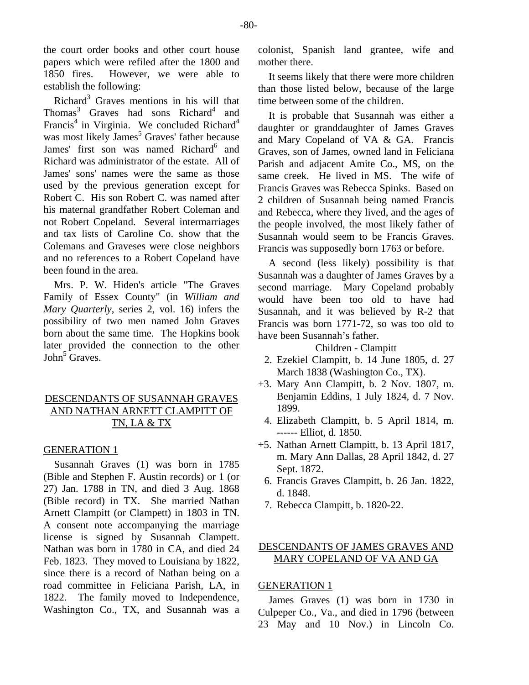the court order books and other court house papers which were refiled after the 1800 and 1850 fires. However, we were able to establish the following:

Richard<sup>3</sup> Graves mentions in his will that Thomas<sup>3</sup> Graves had sons Richard<sup>4</sup> and Francis<sup>4</sup> in Virginia. We concluded Richard<sup>4</sup> was most likely James<sup>5</sup> Graves' father because James' first son was named Richard<sup>6</sup> and Richard was administrator of the estate. All of James' sons' names were the same as those used by the previous generation except for Robert C. His son Robert C. was named after his maternal grandfather Robert Coleman and not Robert Copeland. Several intermarriages and tax lists of Caroline Co. show that the Colemans and Graveses were close neighbors and no references to a Robert Copeland have been found in the area.

Mrs. P. W. Hiden's article "The Graves Family of Essex County" (in *William and Mary Quarterly*, series 2, vol. 16) infers the possibility of two men named John Graves born about the same time. The Hopkins book later provided the connection to the other John<sup>5</sup> Graves.

# DESCENDANTS OF SUSANNAH GRAVES AND NATHAN ARNETT CLAMPITT OF TN, LA & TX

#### GENERATION 1

Susannah Graves (1) was born in 1785 (Bible and Stephen F. Austin records) or 1 (or 27) Jan. 1788 in TN, and died 3 Aug. 1868 (Bible record) in TX. She married Nathan Arnett Clampitt (or Clampett) in 1803 in TN. A consent note accompanying the marriage license is signed by Susannah Clampett. Nathan was born in 1780 in CA, and died 24 Feb. 1823. They moved to Louisiana by 1822, since there is a record of Nathan being on a road committee in Feliciana Parish, LA, in 1822. The family moved to Independence, Washington Co., TX, and Susannah was a colonist, Spanish land grantee, wife and mother there.

It seems likely that there were more children than those listed below, because of the large time between some of the children.

It is probable that Susannah was either a daughter or granddaughter of James Graves and Mary Copeland of VA & GA. Francis Graves, son of James, owned land in Feliciana Parish and adjacent Amite Co., MS, on the same creek. He lived in MS. The wife of Francis Graves was Rebecca Spinks. Based on 2 children of Susannah being named Francis and Rebecca, where they lived, and the ages of the people involved, the most likely father of Susannah would seem to be Francis Graves. Francis was supposedly born 1763 or before.

A second (less likely) possibility is that Susannah was a daughter of James Graves by a second marriage. Mary Copeland probably would have been too old to have had Susannah, and it was believed by R-2 that Francis was born 1771-72, so was too old to have been Susannah's father.

# Children - Clampitt

- 2. Ezekiel Clampitt, b. 14 June 1805, d. 27 March 1838 (Washington Co., TX).
- +3. Mary Ann Clampitt, b. 2 Nov. 1807, m. Benjamin Eddins, 1 July 1824, d. 7 Nov. 1899.
	- 4. Elizabeth Clampitt, b. 5 April 1814, m. ------ Elliot, d. 1850.
- +5. Nathan Arnett Clampitt, b. 13 April 1817, m. Mary Ann Dallas, 28 April 1842, d. 27 Sept. 1872.
	- 6. Francis Graves Clampitt, b. 26 Jan. 1822, d. 1848.
	- 7. Rebecca Clampitt, b. 1820-22.

# DESCENDANTS OF JAMES GRAVES AND MARY COPELAND OF VA AND GA

## GENERATION 1

James Graves (1) was born in 1730 in Culpeper Co., Va., and died in 1796 (between 23 May and 10 Nov.) in Lincoln Co.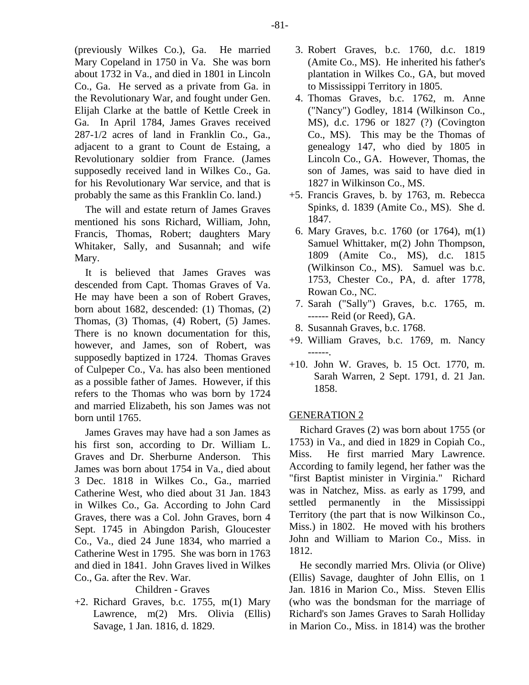(previously Wilkes Co.), Ga. He married Mary Copeland in 1750 in Va. She was born about 1732 in Va., and died in 1801 in Lincoln Co., Ga. He served as a private from Ga. in the Revolutionary War, and fought under Gen. Elijah Clarke at the battle of Kettle Creek in Ga. In April 1784, James Graves received 287-1/2 acres of land in Franklin Co., Ga., adjacent to a grant to Count de Estaing, a Revolutionary soldier from France. (James supposedly received land in Wilkes Co., Ga. for his Revolutionary War service, and that is probably the same as this Franklin Co. land.)

The will and estate return of James Graves mentioned his sons Richard, William, John, Francis, Thomas, Robert; daughters Mary Whitaker, Sally, and Susannah; and wife Mary.

It is believed that James Graves was descended from Capt. Thomas Graves of Va. He may have been a son of Robert Graves, born about 1682, descended: (1) Thomas, (2) Thomas, (3) Thomas, (4) Robert, (5) James. There is no known documentation for this, however, and James, son of Robert, was supposedly baptized in 1724. Thomas Graves of Culpeper Co., Va. has also been mentioned as a possible father of James. However, if this refers to the Thomas who was born by 1724 and married Elizabeth, his son James was not born until 1765.

James Graves may have had a son James as his first son, according to Dr. William L. Graves and Dr. Sherburne Anderson. This James was born about 1754 in Va., died about 3 Dec. 1818 in Wilkes Co., Ga., married Catherine West, who died about 31 Jan. 1843 in Wilkes Co., Ga. According to John Card Graves, there was a Col. John Graves, born 4 Sept. 1745 in Abingdon Parish, Gloucester Co., Va., died 24 June 1834, who married a Catherine West in 1795. She was born in 1763 and died in 1841. John Graves lived in Wilkes Co., Ga. after the Rev. War.

# Children - Graves

+2. Richard Graves, b.c. 1755, m(1) Mary Lawrence, m(2) Mrs. Olivia (Ellis) Savage, 1 Jan. 1816, d. 1829.

- 3. Robert Graves, b.c. 1760, d.c. 1819 (Amite Co., MS). He inherited his father's plantation in Wilkes Co., GA, but moved to Mississippi Territory in 1805.
- 4. Thomas Graves, b.c. 1762, m. Anne ("Nancy") Godley, 1814 (Wilkinson Co., MS), d.c. 1796 or 1827 (?) (Covington Co., MS). This may be the Thomas of genealogy 147, who died by 1805 in Lincoln Co., GA. However, Thomas, the son of James, was said to have died in 1827 in Wilkinson Co., MS.
- +5. Francis Graves, b. by 1763, m. Rebecca Spinks, d. 1839 (Amite Co., MS). She d. 1847.
- 6. Mary Graves, b.c. 1760 (or 1764), m(1) Samuel Whittaker, m(2) John Thompson, 1809 (Amite Co., MS), d.c. 1815 (Wilkinson Co., MS). Samuel was b.c. 1753, Chester Co., PA, d. after 1778, Rowan Co., NC.
- 7. Sarah ("Sally") Graves, b.c. 1765, m. ------ Reid (or Reed), GA.
- 8. Susannah Graves, b.c. 1768.
- +9. William Graves, b.c. 1769, m. Nancy ------.
- +10. John W. Graves, b. 15 Oct. 1770, m. Sarah Warren, 2 Sept. 1791, d. 21 Jan. 1858.

# GENERATION 2

Richard Graves (2) was born about 1755 (or 1753) in Va., and died in 1829 in Copiah Co., Miss. He first married Mary Lawrence. According to family legend, her father was the "first Baptist minister in Virginia." Richard was in Natchez, Miss. as early as 1799, and settled permanently in the Mississippi Territory (the part that is now Wilkinson Co., Miss.) in 1802. He moved with his brothers John and William to Marion Co., Miss. in 1812.

He secondly married Mrs. Olivia (or Olive) (Ellis) Savage, daughter of John Ellis, on 1 Jan. 1816 in Marion Co., Miss. Steven Ellis (who was the bondsman for the marriage of Richard's son James Graves to Sarah Holliday in Marion Co., Miss. in 1814) was the brother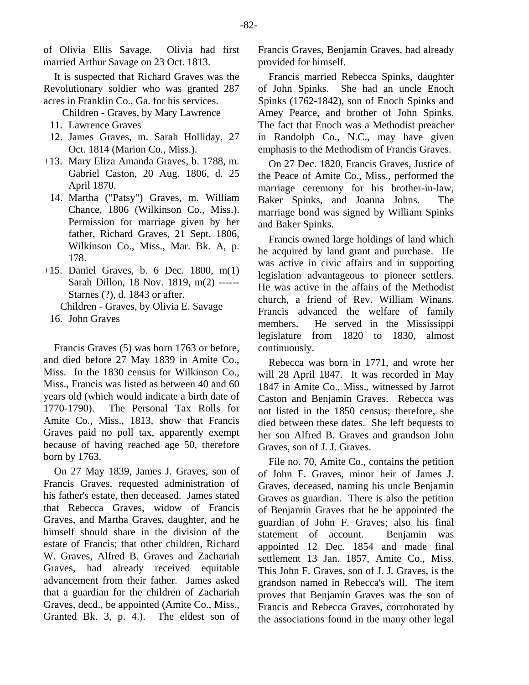of Olivia Ellis Savage. Olivia had first married Arthur Savage on 23 Oct. 1813.

It is suspected that Richard Graves was the Revolutionary soldier who was granted 287 acres in Franklin Co., Ga. for his services.

Children - Graves, by Mary Lawrence

- 11. Lawrence Graves
- 12. James Graves, m. Sarah Holliday, 27 Oct. 1814 (Marion Co., Miss.).
- +13. Mary Eliza Amanda Graves, b. 1788, m. Gabriel Caston, 20 Aug. 1806, d. 25 April 1870.
	- 14. Martha ("Patsy") Graves, m. William Chance, 1806 (Wilkinson Co., Miss.). Permission for marriage given by her father, Richard Graves, 21 Sept. 1806, Wilkinson Co., Miss., Mar. Bk. A, p. 178.
- +15. Daniel Graves, b. 6 Dec. 1800, m(1) Sarah Dillon, 18 Nov. 1819, m(2) ------ Starnes (?), d. 1843 or after. Children - Graves, by Olivia E. Savage
	- 16. John Graves

Francis Graves (5) was born 1763 or before, and died before 27 May 1839 in Amite Co., Miss. In the 1830 census for Wilkinson Co., Miss., Francis was listed as between 40 and 60 years old (which would indicate a birth date of 1770-1790). The Personal Tax Rolls for Amite Co., Miss., 1813, show that Francis Graves paid no poll tax, apparently exempt because of having reached age 50, therefore born by 1763.

On 27 May 1839, James J. Graves, son of Francis Graves, requested administration of his father's estate, then deceased. James stated that Rebecca Graves, widow of Francis Graves, and Martha Graves, daughter, and he himself should share in the division of the estate of Francis; that other children, Richard W. Graves, Alfred B. Graves and Zachariah Graves, had already received equitable advancement from their father. James asked that a guardian for the children of Zachariah Graves, decd., be appointed (Amite Co., Miss., Granted Bk. 3, p. 4.). The eldest son of

Francis Graves, Benjamin Graves, had already provided for himself.

Francis married Rebecca Spinks, daughter of John Spinks. She had an uncle Enoch Spinks (1762-1842), son of Enoch Spinks and Amey Pearce, and brother of John Spinks. The fact that Enoch was a Methodist preacher in Randolph Co., N.C., may have given emphasis to the Methodism of Francis Graves.

On 27 Dec. 1820, Francis Graves, Justice of the Peace of Amite Co., Miss., performed the marriage ceremony for his brother-in-law, Baker Spinks, and Joanna Johns. The marriage bond was signed by William Spinks and Baker Spinks.

Francis owned large holdings of land which he acquired by land grant and purchase. He was active in civic affairs and in supporting legislation advantageous to pioneer settlers. He was active in the affairs of the Methodist church, a friend of Rev. William Winans. Francis advanced the welfare of family members. He served in the Mississippi legislature from 1820 to 1830, almost continuously.

Rebecca was born in 1771, and wrote her will 28 April 1847. It was recorded in May 1847 in Amite Co., Miss., witnessed by Jarrot Caston and Benjamin Graves. Rebecca was not listed in the 1850 census; therefore, she died between these dates. She left bequests to her son Alfred B. Graves and grandson John Graves, son of J. J. Graves.

File no. 70, Amite Co., contains the petition of John F. Graves, minor heir of James J. Graves, deceased, naming his uncle Benjamin Graves as guardian. There is also the petition of Benjamin Graves that he be appointed the guardian of John F. Graves; also his final statement of account. Benjamin was appointed 12 Dec. 1854 and made final settlement 13 Jan. 1857, Amite Co., Miss. This John F. Graves, son of J. J. Graves, is the grandson named in Rebecca's will. The item proves that Benjamin Graves was the son of Francis and Rebecca Graves, corroborated by the associations found in the many other legal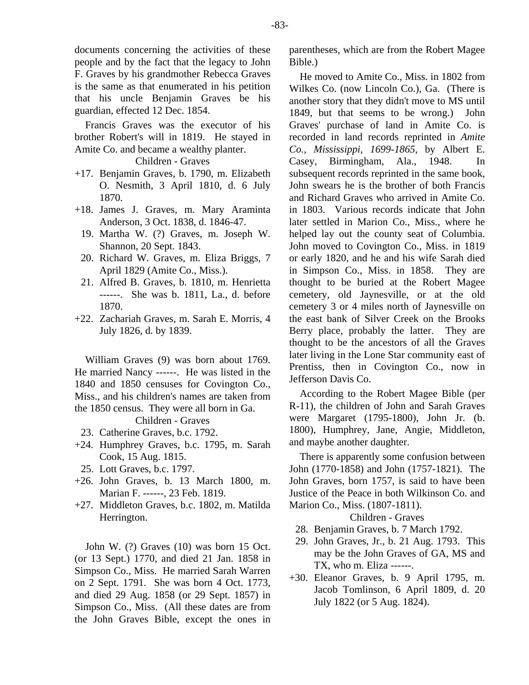documents concerning the activities of these people and by the fact that the legacy to John F. Graves by his grandmother Rebecca Graves is the same as that enumerated in his petition that his uncle Benjamin Graves be his guardian, effected 12 Dec. 1854.

Francis Graves was the executor of his brother Robert's will in 1819. He stayed in Amite Co. and became a wealthy planter.

# Children - Graves

- +17. Benjamin Graves, b. 1790, m. Elizabeth O. Nesmith, 3 April 1810, d. 6 July 1870.
- +18. James J. Graves, m. Mary Araminta Anderson, 3 Oct. 1838, d. 1846-47.
	- 19. Martha W. (?) Graves, m. Joseph W. Shannon, 20 Sept. 1843.
	- 20. Richard W. Graves, m. Eliza Briggs, 7 April 1829 (Amite Co., Miss.).
	- 21. Alfred B. Graves, b. 1810, m. Henrietta ------. She was b. 1811, La., d. before 1870.
- +22. Zachariah Graves, m. Sarah E. Morris, 4 July 1826, d. by 1839.

William Graves (9) was born about 1769. He married Nancy ------. He was listed in the 1840 and 1850 censuses for Covington Co., Miss., and his children's names are taken from the 1850 census. They were all born in Ga.

# Children - Graves

- 23. Catherine Graves, b.c. 1792.
- +24. Humphrey Graves, b.c. 1795, m. Sarah Cook, 15 Aug. 1815.
- 25. Lott Graves, b.c. 1797.
- +26. John Graves, b. 13 March 1800, m. Marian F. ------, 23 Feb. 1819.
- +27. Middleton Graves, b.c. 1802, m. Matilda Herrington.

John W. (?) Graves (10) was born 15 Oct. (or 13 Sept.) 1770, and died 21 Jan. 1858 in Simpson Co., Miss. He married Sarah Warren on 2 Sept. 1791. She was born 4 Oct. 1773, and died 29 Aug. 1858 (or 29 Sept. 1857) in Simpson Co., Miss. (All these dates are from the John Graves Bible, except the ones in parentheses, which are from the Robert Magee Bible.)

He moved to Amite Co., Miss. in 1802 from Wilkes Co. (now Lincoln Co.), Ga. (There is another story that they didn't move to MS until 1849, but that seems to be wrong.) John Graves' purchase of land in Amite Co. is recorded in land records reprinted in *Amite Co., Mississippi, 1699-1865*, by Albert E. Casey, Birmingham, Ala., 1948. In subsequent records reprinted in the same book, John swears he is the brother of both Francis and Richard Graves who arrived in Amite Co. in 1803. Various records indicate that John later settled in Marion Co., Miss., where he helped lay out the county seat of Columbia. John moved to Covington Co., Miss. in 1819 or early 1820, and he and his wife Sarah died in Simpson Co., Miss. in 1858. They are thought to be buried at the Robert Magee cemetery, old Jaynesville, or at the old cemetery 3 or 4 miles north of Jaynesville on the east bank of Silver Creek on the Brooks Berry place, probably the latter. They are thought to be the ancestors of all the Graves later living in the Lone Star community east of Prentiss, then in Covington Co., now in Jefferson Davis Co.

According to the Robert Magee Bible (per R-11), the children of John and Sarah Graves were Margaret (1795-1800), John Jr. (b. 1800), Humphrey, Jane, Angie, Middleton, and maybe another daughter.

There is apparently some confusion between John (1770-1858) and John (1757-1821). The John Graves, born 1757, is said to have been Justice of the Peace in both Wilkinson Co. and Marion Co., Miss. (1807-1811).

## Children - Graves

- 28. Benjamin Graves, b. 7 March 1792.
- 29. John Graves, Jr., b. 21 Aug. 1793. This may be the John Graves of GA, MS and TX, who m. Eliza ------.
- +30. Eleanor Graves, b. 9 April 1795, m. Jacob Tomlinson, 6 April 1809, d. 20 July 1822 (or 5 Aug. 1824).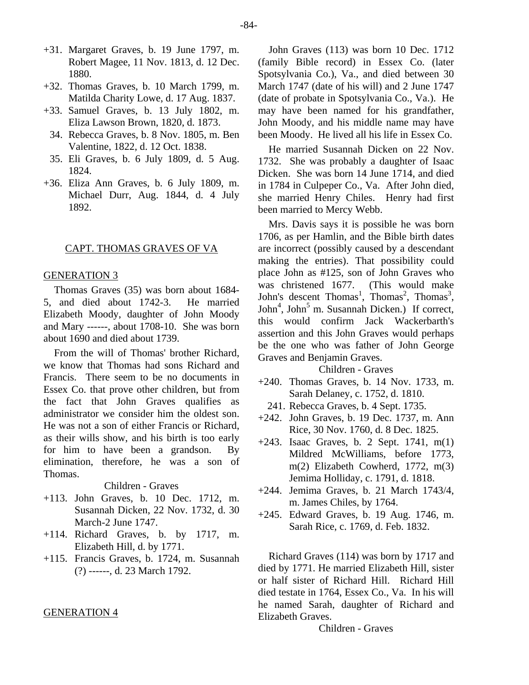- +31. Margaret Graves, b. 19 June 1797, m. Robert Magee, 11 Nov. 1813, d. 12 Dec. 1880.
- +32. Thomas Graves, b. 10 March 1799, m. Matilda Charity Lowe, d. 17 Aug. 1837.
- +33. Samuel Graves, b. 13 July 1802, m. Eliza Lawson Brown, 1820, d. 1873.
	- 34. Rebecca Graves, b. 8 Nov. 1805, m. Ben Valentine, 1822, d. 12 Oct. 1838.
	- 35. Eli Graves, b. 6 July 1809, d. 5 Aug. 1824.
- +36. Eliza Ann Graves, b. 6 July 1809, m. Michael Durr, Aug. 1844, d. 4 July 1892.

#### CAPT. THOMAS GRAVES OF VA

## GENERATION 3

Thomas Graves (35) was born about 1684- 5, and died about 1742-3. He married Elizabeth Moody, daughter of John Moody and Mary ------, about 1708-10. She was born about 1690 and died about 1739.

From the will of Thomas' brother Richard, we know that Thomas had sons Richard and Francis. There seem to be no documents in Essex Co. that prove other children, but from the fact that John Graves qualifies as administrator we consider him the oldest son. He was not a son of either Francis or Richard, as their wills show, and his birth is too early for him to have been a grandson. By elimination, therefore, he was a son of Thomas.

Children - Graves

- +113. John Graves, b. 10 Dec. 1712, m. Susannah Dicken, 22 Nov. 1732, d. 30 March-2 June 1747.
- +114. Richard Graves, b. by 1717, m. Elizabeth Hill, d. by 1771.
- +115. Francis Graves, b. 1724, m. Susannah (?) ------, d. 23 March 1792.

#### GENERATION 4

John Graves (113) was born 10 Dec. 1712 (family Bible record) in Essex Co. (later Spotsylvania Co.), Va., and died between 30 March 1747 (date of his will) and 2 June 1747 (date of probate in Spotsylvania Co., Va.). He may have been named for his grandfather, John Moody, and his middle name may have been Moody. He lived all his life in Essex Co.

He married Susannah Dicken on 22 Nov. 1732. She was probably a daughter of Isaac Dicken. She was born 14 June 1714, and died in 1784 in Culpeper Co., Va. After John died, she married Henry Chiles. Henry had first been married to Mercy Webb.

Mrs. Davis says it is possible he was born 1706, as per Hamlin, and the Bible birth dates are incorrect (possibly caused by a descendant making the entries). That possibility could place John as #125, son of John Graves who was christened 1677. (This would make John's descent Thomas<sup>1</sup>, Thomas<sup>2</sup>, Thomas<sup>3</sup>, John<sup>4</sup>, John<sup>5</sup> m. Susannah Dicken.) If correct, this would confirm Jack Wackerbarth's assertion and this John Graves would perhaps be the one who was father of John George Graves and Benjamin Graves.

# Children - Graves

- +240. Thomas Graves, b. 14 Nov. 1733, m. Sarah Delaney, c. 1752, d. 1810.
	- 241. Rebecca Graves, b. 4 Sept. 1735.
- +242. John Graves, b. 19 Dec. 1737, m. Ann Rice, 30 Nov. 1760, d. 8 Dec. 1825.
- +243. Isaac Graves, b. 2 Sept. 1741, m(1) Mildred McWilliams, before 1773, m(2) Elizabeth Cowherd, 1772, m(3) Jemima Holliday, c. 1791, d. 1818.
- +244. Jemima Graves, b. 21 March 1743/4, m. James Chiles, by 1764.
- +245. Edward Graves, b. 19 Aug. 1746, m. Sarah Rice, c. 1769, d. Feb. 1832.

Richard Graves (114) was born by 1717 and died by 1771. He married Elizabeth Hill, sister or half sister of Richard Hill. Richard Hill died testate in 1764, Essex Co., Va. In his will he named Sarah, daughter of Richard and Elizabeth Graves.

Children - Graves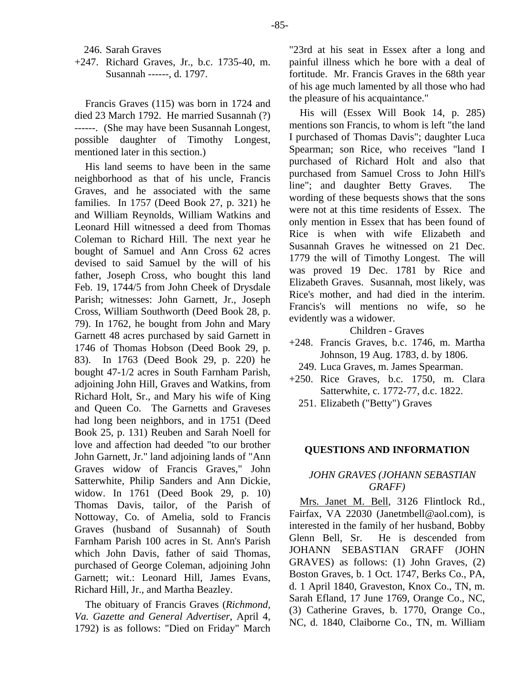246. Sarah Graves

+247. Richard Graves, Jr., b.c. 1735-40, m. Susannah ------, d. 1797.

Francis Graves (115) was born in 1724 and died 23 March 1792. He married Susannah (?) ------. (She may have been Susannah Longest, possible daughter of Timothy Longest, mentioned later in this section.)

His land seems to have been in the same neighborhood as that of his uncle, Francis Graves, and he associated with the same families. In 1757 (Deed Book 27, p. 321) he and William Reynolds, William Watkins and Leonard Hill witnessed a deed from Thomas Coleman to Richard Hill. The next year he bought of Samuel and Ann Cross 62 acres devised to said Samuel by the will of his father, Joseph Cross, who bought this land Feb. 19, 1744/5 from John Cheek of Drysdale Parish; witnesses: John Garnett, Jr., Joseph Cross, William Southworth (Deed Book 28, p. 79). In 1762, he bought from John and Mary Garnett 48 acres purchased by said Garnett in 1746 of Thomas Hobson (Deed Book 29, p. 83). In 1763 (Deed Book 29, p. 220) he bought 47-1/2 acres in South Farnham Parish, adjoining John Hill, Graves and Watkins, from Richard Holt, Sr., and Mary his wife of King and Queen Co. The Garnetts and Graveses had long been neighbors, and in 1751 (Deed Book 25, p. 131) Reuben and Sarah Noell for love and affection had deeded "to our brother John Garnett, Jr." land adjoining lands of "Ann Graves widow of Francis Graves," John Satterwhite, Philip Sanders and Ann Dickie, widow. In 1761 (Deed Book 29, p. 10) Thomas Davis, tailor, of the Parish of Nottoway, Co. of Amelia, sold to Francis Graves (husband of Susannah) of South Farnham Parish 100 acres in St. Ann's Parish which John Davis, father of said Thomas, purchased of George Coleman, adjoining John Garnett; wit.: Leonard Hill, James Evans, Richard Hill, Jr., and Martha Beazley.

The obituary of Francis Graves (*Richmond, Va. Gazette and General Advertiser*, April 4, 1792) is as follows: "Died on Friday" March

"23rd at his seat in Essex after a long and painful illness which he bore with a deal of fortitude. Mr. Francis Graves in the 68th year of his age much lamented by all those who had the pleasure of his acquaintance."

His will (Essex Will Book 14, p. 285) mentions son Francis, to whom is left "the land I purchased of Thomas Davis"; daughter Luca Spearman; son Rice, who receives "land I purchased of Richard Holt and also that purchased from Samuel Cross to John Hill's line"; and daughter Betty Graves. The wording of these bequests shows that the sons were not at this time residents of Essex. The only mention in Essex that has been found of Rice is when with wife Elizabeth and Susannah Graves he witnessed on 21 Dec. 1779 the will of Timothy Longest. The will was proved 19 Dec. 1781 by Rice and Elizabeth Graves. Susannah, most likely, was Rice's mother, and had died in the interim. Francis's will mentions no wife, so he evidently was a widower.

## Children - Graves

- +248. Francis Graves, b.c. 1746, m. Martha Johnson, 19 Aug. 1783, d. by 1806.
- 249. Luca Graves, m. James Spearman.
- +250. Rice Graves, b.c. 1750, m. Clara Satterwhite, c. 1772-77, d.c. 1822.
	- 251. Elizabeth ("Betty") Graves

#### **QUESTIONS AND INFORMATION**

# *JOHN GRAVES (JOHANN SEBASTIAN GRAFF)*

Mrs. Janet M. Bell, 3126 Flintlock Rd., Fairfax, VA 22030 (Janetmbell@aol.com), is interested in the family of her husband, Bobby Glenn Bell, Sr. He is descended from JOHANN SEBASTIAN GRAFF (JOHN GRAVES) as follows: (1) John Graves, (2) Boston Graves, b. 1 Oct. 1747, Berks Co., PA, d. 1 April 1840, Graveston, Knox Co., TN, m. Sarah Efland, 17 June 1769, Orange Co., NC, (3) Catherine Graves, b. 1770, Orange Co., NC, d. 1840, Claiborne Co., TN, m. William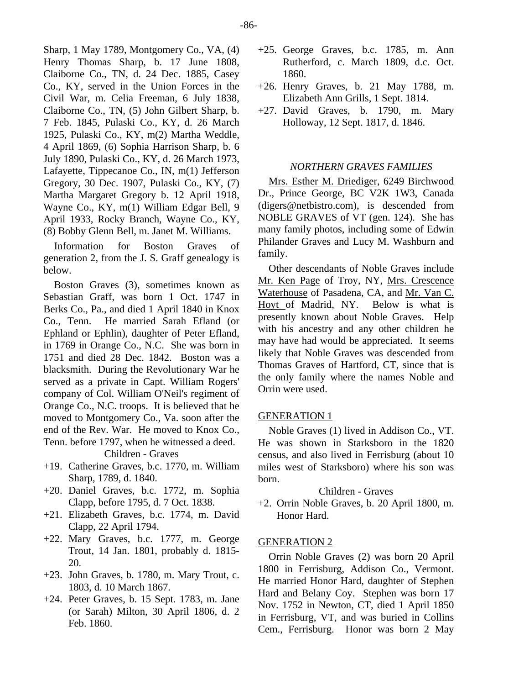Sharp, 1 May 1789, Montgomery Co., VA, (4) Henry Thomas Sharp, b. 17 June 1808, Claiborne Co., TN, d. 24 Dec. 1885, Casey Co., KY, served in the Union Forces in the Civil War, m. Celia Freeman, 6 July 1838, Claiborne Co., TN, (5) John Gilbert Sharp, b. 7 Feb. 1845, Pulaski Co., KY, d. 26 March 1925, Pulaski Co., KY, m(2) Martha Weddle, 4 April 1869, (6) Sophia Harrison Sharp, b. 6 July 1890, Pulaski Co., KY, d. 26 March 1973, Lafayette, Tippecanoe Co., IN, m(1) Jefferson Gregory, 30 Dec. 1907, Pulaski Co., KY, (7) Martha Margaret Gregory b. 12 April 1918, Wayne Co., KY, m(1) William Edgar Bell, 9 April 1933, Rocky Branch, Wayne Co., KY, (8) Bobby Glenn Bell, m. Janet M. Williams.

Information for Boston Graves of generation 2, from the J. S. Graff genealogy is below.

Boston Graves (3), sometimes known as Sebastian Graff, was born 1 Oct. 1747 in Berks Co., Pa., and died 1 April 1840 in Knox Co., Tenn. He married Sarah Efland (or Ephland or Ephlin), daughter of Peter Efland, in 1769 in Orange Co., N.C. She was born in 1751 and died 28 Dec. 1842. Boston was a blacksmith. During the Revolutionary War he served as a private in Capt. William Rogers' company of Col. William O'Neil's regiment of Orange Co., N.C. troops. It is believed that he moved to Montgomery Co., Va. soon after the end of the Rev. War. He moved to Knox Co., Tenn. before 1797, when he witnessed a deed.

Children - Graves

- +19. Catherine Graves, b.c. 1770, m. William Sharp, 1789, d. 1840.
- +20. Daniel Graves, b.c. 1772, m. Sophia Clapp, before 1795, d. 7 Oct. 1838.
- +21. Elizabeth Graves, b.c. 1774, m. David Clapp, 22 April 1794.
- +22. Mary Graves, b.c. 1777, m. George Trout, 14 Jan. 1801, probably d. 1815- 20.
- +23. John Graves, b. 1780, m. Mary Trout, c. 1803, d. 10 March 1867.
- +24. Peter Graves, b. 15 Sept. 1783, m. Jane (or Sarah) Milton, 30 April 1806, d. 2 Feb. 1860.
- +25. George Graves, b.c. 1785, m. Ann Rutherford, c. March 1809, d.c. Oct. 1860.
- +26. Henry Graves, b. 21 May 1788, m. Elizabeth Ann Grills, 1 Sept. 1814.
- +27. David Graves, b. 1790, m. Mary Holloway, 12 Sept. 1817, d. 1846.

# *NORTHERN GRAVES FAMILIES*

Mrs. Esther M. Driediger, 6249 Birchwood Dr., Prince George, BC V2K 1W3, Canada (digers@netbistro.com), is descended from NOBLE GRAVES of VT (gen. 124). She has many family photos, including some of Edwin Philander Graves and Lucy M. Washburn and family.

Other descendants of Noble Graves include Mr. Ken Page of Troy, NY, Mrs. Crescence Waterhouse of Pasadena, CA, and Mr. Van C. Hoyt of Madrid, NY. Below is what is presently known about Noble Graves. Help with his ancestry and any other children he may have had would be appreciated. It seems likely that Noble Graves was descended from Thomas Graves of Hartford, CT, since that is the only family where the names Noble and Orrin were used.

#### GENERATION 1

Noble Graves (1) lived in Addison Co., VT. He was shown in Starksboro in the 1820 census, and also lived in Ferrisburg (about 10 miles west of Starksboro) where his son was born.

## Children - Graves

+2. Orrin Noble Graves, b. 20 April 1800, m. Honor Hard.

# GENERATION 2

Orrin Noble Graves (2) was born 20 April 1800 in Ferrisburg, Addison Co., Vermont. He married Honor Hard, daughter of Stephen Hard and Belany Coy. Stephen was born 17 Nov. 1752 in Newton, CT, died 1 April 1850 in Ferrisburg, VT, and was buried in Collins Cem., Ferrisburg. Honor was born 2 May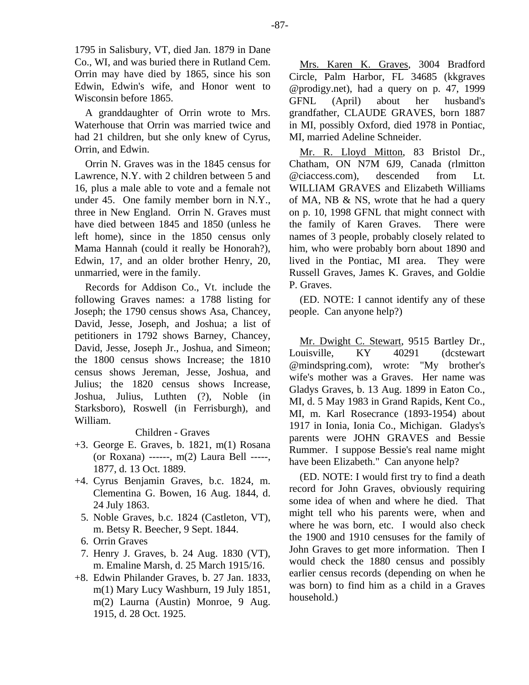1795 in Salisbury, VT, died Jan. 1879 in Dane Co., WI, and was buried there in Rutland Cem. Orrin may have died by 1865, since his son Edwin, Edwin's wife, and Honor went to Wisconsin before 1865.

A granddaughter of Orrin wrote to Mrs. Waterhouse that Orrin was married twice and had 21 children, but she only knew of Cyrus, Orrin, and Edwin.

Orrin N. Graves was in the 1845 census for Lawrence, N.Y. with 2 children between 5 and 16, plus a male able to vote and a female not under 45. One family member born in N.Y., three in New England. Orrin N. Graves must have died between 1845 and 1850 (unless he left home), since in the 1850 census only Mama Hannah (could it really be Honorah?), Edwin, 17, and an older brother Henry, 20, unmarried, were in the family.

Records for Addison Co., Vt. include the following Graves names: a 1788 listing for Joseph; the 1790 census shows Asa, Chancey, David, Jesse, Joseph, and Joshua; a list of petitioners in 1792 shows Barney, Chancey, David, Jesse, Joseph Jr., Joshua, and Simeon; the 1800 census shows Increase; the 1810 census shows Jereman, Jesse, Joshua, and Julius; the 1820 census shows Increase, Joshua, Julius, Luthten (?), Noble (in Starksboro), Roswell (in Ferrisburgh), and William.

# Children - Graves

- +3. George E. Graves, b. 1821, m(1) Rosana (or Roxana) ------, m(2) Laura Bell -----, 1877, d. 13 Oct. 1889.
- +4. Cyrus Benjamin Graves, b.c. 1824, m. Clementina G. Bowen, 16 Aug. 1844, d. 24 July 1863.
	- 5. Noble Graves, b.c. 1824 (Castleton, VT), m. Betsy R. Beecher, 9 Sept. 1844.
	- 6. Orrin Graves
	- 7. Henry J. Graves, b. 24 Aug. 1830 (VT), m. Emaline Marsh, d. 25 March 1915/16.
- +8. Edwin Philander Graves, b. 27 Jan. 1833, m(1) Mary Lucy Washburn, 19 July 1851, m(2) Laurna (Austin) Monroe, 9 Aug. 1915, d. 28 Oct. 1925.

Mrs. Karen K. Graves, 3004 Bradford Circle, Palm Harbor, FL 34685 (kkgraves @prodigy.net), had a query on p. 47, 1999 GFNL (April) about her husband's grandfather, CLAUDE GRAVES, born 1887 in MI, possibly Oxford, died 1978 in Pontiac, MI, married Adeline Schneider.

Mr. R. Lloyd Mitton, 83 Bristol Dr., Chatham, ON N7M 6J9, Canada (rlmitton @ciaccess.com), descended from Lt. WILLIAM GRAVES and Elizabeth Williams of MA, NB & NS, wrote that he had a query on p. 10, 1998 GFNL that might connect with the family of Karen Graves. There were names of 3 people, probably closely related to him, who were probably born about 1890 and lived in the Pontiac, MI area. They were Russell Graves, James K. Graves, and Goldie P. Graves.

(ED. NOTE: I cannot identify any of these people. Can anyone help?)

Mr. Dwight C. Stewart, 9515 Bartley Dr., Louisville, KY 40291 (dcstewart @mindspring.com), wrote: "My brother's wife's mother was a Graves. Her name was Gladys Graves, b. 13 Aug. 1899 in Eaton Co., MI, d. 5 May 1983 in Grand Rapids, Kent Co., MI, m. Karl Rosecrance (1893-1954) about 1917 in Ionia, Ionia Co., Michigan. Gladys's parents were JOHN GRAVES and Bessie Rummer. I suppose Bessie's real name might have been Elizabeth." Can anyone help?

(ED. NOTE: I would first try to find a death record for John Graves, obviously requiring some idea of when and where he died. That might tell who his parents were, when and where he was born, etc. I would also check the 1900 and 1910 censuses for the family of John Graves to get more information. Then I would check the 1880 census and possibly earlier census records (depending on when he was born) to find him as a child in a Graves household.)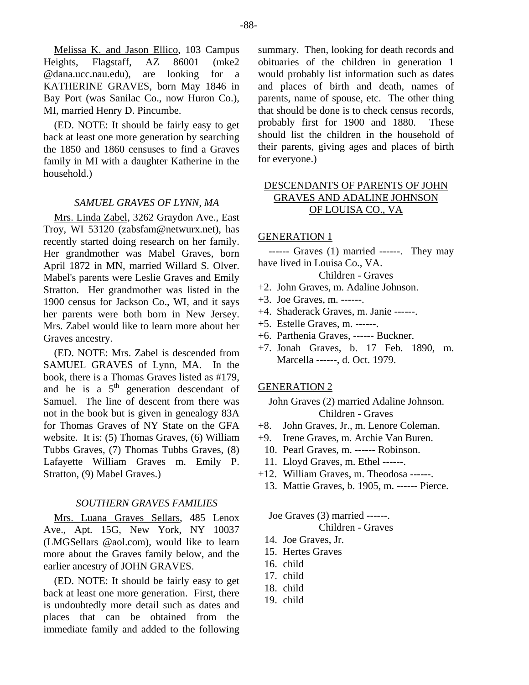(ED. NOTE: It should be fairly easy to get back at least one more generation by searching the 1850 and 1860 censuses to find a Graves family in MI with a daughter Katherine in the household.)

## *SAMUEL GRAVES OF LYNN, MA*

Mrs. Linda Zabel, 3262 Graydon Ave., East Troy, WI 53120 (zabsfam@netwurx.net), has recently started doing research on her family. Her grandmother was Mabel Graves, born April 1872 in MN, married Willard S. Olver. Mabel's parents were Leslie Graves and Emily Stratton. Her grandmother was listed in the 1900 census for Jackson Co., WI, and it says her parents were both born in New Jersey. Mrs. Zabel would like to learn more about her Graves ancestry.

(ED. NOTE: Mrs. Zabel is descended from SAMUEL GRAVES of Lynn, MA. In the book, there is a Thomas Graves listed as #179, and he is a  $5<sup>th</sup>$  generation descendant of Samuel. The line of descent from there was not in the book but is given in genealogy 83A for Thomas Graves of NY State on the GFA website. It is: (5) Thomas Graves, (6) William Tubbs Graves, (7) Thomas Tubbs Graves, (8) Lafayette William Graves m. Emily P. Stratton, (9) Mabel Graves.)

## *SOUTHERN GRAVES FAMILIES*

Mrs. Luana Graves Sellars, 485 Lenox Ave., Apt. 15G, New York, NY 10037 (LMGSellars @aol.com), would like to learn more about the Graves family below, and the earlier ancestry of JOHN GRAVES.

(ED. NOTE: It should be fairly easy to get back at least one more generation. First, there is undoubtedly more detail such as dates and places that can be obtained from the immediate family and added to the following

summary. Then, looking for death records and obituaries of the children in generation 1 would probably list information such as dates and places of birth and death, names of parents, name of spouse, etc. The other thing that should be done is to check census records, probably first for 1900 and 1880. These should list the children in the household of their parents, giving ages and places of birth for everyone.)

# DESCENDANTS OF PARENTS OF JOHN GRAVES AND ADALINE JOHNSON OF LOUISA CO., VA

## GENERATION 1

------ Graves (1) married ------. They may have lived in Louisa Co., VA.

#### Children - Graves

- +2. John Graves, m. Adaline Johnson.
- +3. Joe Graves, m. ------.
- +4. Shaderack Graves, m. Janie ------.
- +5. Estelle Graves, m. ------.
- +6. Parthenia Graves, ------ Buckner.
- +7. Jonah Graves, b. 17 Feb. 1890, m. Marcella ------, d. Oct. 1979.

## GENERATION 2

John Graves (2) married Adaline Johnson. Children - Graves

- +8. John Graves, Jr., m. Lenore Coleman.
- +9. Irene Graves, m. Archie Van Buren.
- 10. Pearl Graves, m. ------ Robinson.
- 11. Lloyd Graves, m. Ethel ------.
- +12. William Graves, m. Theodosa ------.
- 13. Mattie Graves, b. 1905, m. ------ Pierce.

Joe Graves (3) married ------. Children - Graves

- 14. Joe Graves, Jr.
- 15. Hertes Graves
- 16. child
- 17. child
- 18. child
- 19. child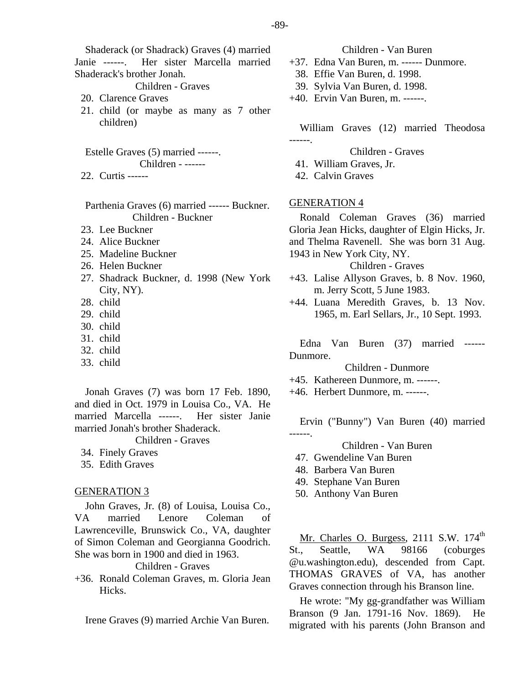Shaderack (or Shadrack) Graves (4) married Janie ------. Her sister Marcella married Shaderack's brother Jonah.

Children - Graves

- 20. Clarence Graves
- 21. child (or maybe as many as 7 other children)

Estelle Graves (5) married ------. Children - ------

22. Curtis ------

Parthenia Graves (6) married ------ Buckner. Children - Buckner

- 23. Lee Buckner
- 24. Alice Buckner
- 25. Madeline Buckner
- 26. Helen Buckner
- 27. Shadrack Buckner, d. 1998 (New York City, NY).
- 28. child
- 29. child
- 30. child
- 31. child
- 32. child
- 33. child

Jonah Graves (7) was born 17 Feb. 1890, and died in Oct. 1979 in Louisa Co., VA. He married Marcella ------. Her sister Janie married Jonah's brother Shaderack.

Children - Graves

- 34. Finely Graves
- 35. Edith Graves

## GENERATION 3

John Graves, Jr. (8) of Louisa, Louisa Co., VA married Lenore Coleman of Lawrenceville, Brunswick Co., VA, daughter of Simon Coleman and Georgianna Goodrich. She was born in 1900 and died in 1963. Children - Graves

+36. Ronald Coleman Graves, m. Gloria Jean Hicks.

Irene Graves (9) married Archie Van Buren.

- Children Van Buren
- +37. Edna Van Buren, m. ------ Dunmore.
	- 38. Effie Van Buren, d. 1998.
- 39. Sylvia Van Buren, d. 1998.
- +40. Ervin Van Buren, m. ------.

William Graves (12) married Theodosa

Children - Graves

41. William Graves, Jr.

42. Calvin Graves

# GENERATION 4

------.

Ronald Coleman Graves (36) married Gloria Jean Hicks, daughter of Elgin Hicks, Jr. and Thelma Ravenell. She was born 31 Aug. 1943 in New York City, NY.

Children - Graves

- +43. Lalise Allyson Graves, b. 8 Nov. 1960, m. Jerry Scott, 5 June 1983.
- +44. Luana Meredith Graves, b. 13 Nov. 1965, m. Earl Sellars, Jr., 10 Sept. 1993.

Edna Van Buren (37) married ------ Dunmore.

Children - Dunmore

- +45. Kathereen Dunmore, m. ------.
- +46. Herbert Dunmore, m. ------.

Ervin ("Bunny") Van Buren (40) married ------.

Children - Van Buren

- 47. Gwendeline Van Buren
- 48. Barbera Van Buren
- 49. Stephane Van Buren
- 50. Anthony Van Buren

Mr. Charles O. Burgess,  $2111$  S.W.  $174<sup>th</sup>$ St., Seattle, WA 98166 (coburges @u.washington.edu), descended from Capt. THOMAS GRAVES of VA, has another Graves connection through his Branson line.

He wrote: "My gg-grandfather was William Branson (9 Jan. 1791-16 Nov. 1869). He migrated with his parents (John Branson and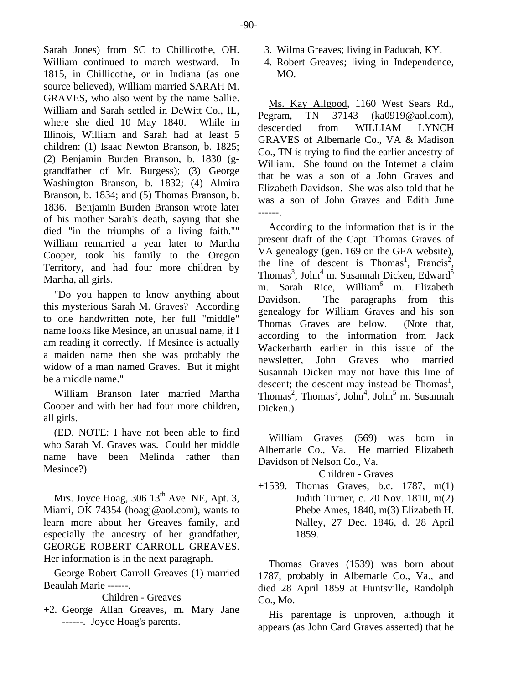Sarah Jones) from SC to Chillicothe, OH. William continued to march westward. In 1815, in Chillicothe, or in Indiana (as one source believed), William married SARAH M. GRAVES, who also went by the name Sallie. William and Sarah settled in DeWitt Co., IL, where she died 10 May 1840. While in Illinois, William and Sarah had at least 5 children: (1) Isaac Newton Branson, b. 1825; (2) Benjamin Burden Branson, b. 1830 (ggrandfather of Mr. Burgess); (3) George Washington Branson, b. 1832; (4) Almira Branson, b. 1834; and (5) Thomas Branson, b. 1836. Benjamin Burden Branson wrote later of his mother Sarah's death, saying that she died "in the triumphs of a living faith."" William remarried a year later to Martha Cooper, took his family to the Oregon Territory, and had four more children by Martha, all girls.

"Do you happen to know anything about this mysterious Sarah M. Graves? According to one handwritten note, her full "middle" name looks like Mesince, an unusual name, if I am reading it correctly. If Mesince is actually a maiden name then she was probably the widow of a man named Graves. But it might be a middle name."

William Branson later married Martha Cooper and with her had four more children, all girls.

(ED. NOTE: I have not been able to find who Sarah M. Graves was. Could her middle name have been Melinda rather than Mesince?)

Mrs. Joyce Hoag,  $306\,13^{\text{th}}$  Ave. NE, Apt. 3, Miami, OK 74354 (hoagj@aol.com), wants to learn more about her Greaves family, and especially the ancestry of her grandfather, GEORGE ROBERT CARROLL GREAVES. Her information is in the next paragraph.

George Robert Carroll Greaves (1) married Beaulah Marie ------.

Children - Greaves

+2. George Allan Greaves, m. Mary Jane ------. Joyce Hoag's parents.

- 3. Wilma Greaves; living in Paducah, KY.
- 4. Robert Greaves; living in Independence, MO.

Ms. Kay Allgood, 1160 West Sears Rd., Pegram, TN 37143 (ka0919@aol.com), descended from WILLIAM LYNCH GRAVES of Albemarle Co., VA & Madison Co., TN is trying to find the earlier ancestry of William. She found on the Internet a claim that he was a son of a John Graves and Elizabeth Davidson. She was also told that he was a son of John Graves and Edith June ------.

According to the information that is in the present draft of the Capt. Thomas Graves of VA genealogy (gen. 169 on the GFA website), the line of descent is Thomas<sup>1</sup>, Francis<sup>2</sup>, Thomas<sup>3</sup>, John<sup>4</sup> m. Susannah Dicken, Edward<sup>5</sup> m. Sarah Rice, William<sup>6</sup> m. Elizabeth Davidson. The paragraphs from this genealogy for William Graves and his son Thomas Graves are below. (Note that, according to the information from Jack Wackerbarth earlier in this issue of the newsletter, John Graves who married Susannah Dicken may not have this line of descent; the descent may instead be Thomas<sup>1</sup>, Thomas<sup>2</sup>, Thomas<sup>3</sup>, John<sup>4</sup>, John<sup>5</sup> m. Susannah Dicken.)

William Graves (569) was born in Albemarle Co., Va. He married Elizabeth Davidson of Nelson Co., Va.

Children - Graves

+1539. Thomas Graves, b.c. 1787, m(1) Judith Turner, c. 20 Nov. 1810, m(2) Phebe Ames, 1840, m(3) Elizabeth H. Nalley, 27 Dec. 1846, d. 28 April 1859.

Thomas Graves (1539) was born about 1787, probably in Albemarle Co., Va., and died 28 April 1859 at Huntsville, Randolph Co., Mo.

His parentage is unproven, although it appears (as John Card Graves asserted) that he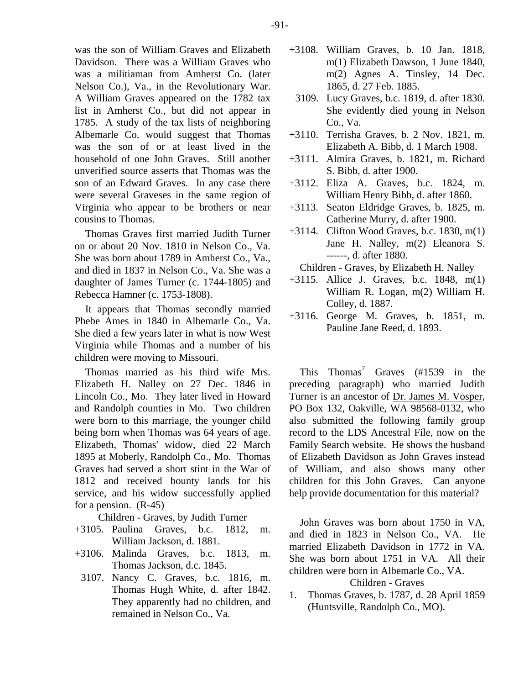was the son of William Graves and Elizabeth Davidson. There was a William Graves who was a militiaman from Amherst Co. (later Nelson Co.), Va., in the Revolutionary War. A William Graves appeared on the 1782 tax list in Amherst Co., but did not appear in 1785. A study of the tax lists of neighboring Albemarle Co. would suggest that Thomas was the son of or at least lived in the household of one John Graves. Still another unverified source asserts that Thomas was the son of an Edward Graves. In any case there were several Graveses in the same region of Virginia who appear to be brothers or near cousins to Thomas.

Thomas Graves first married Judith Turner on or about 20 Nov. 1810 in Nelson Co., Va. She was born about 1789 in Amherst Co., Va., and died in 1837 in Nelson Co., Va. She was a daughter of James Turner (c. 1744-1805) and Rebecca Hamner (c. 1753-1808).

It appears that Thomas secondly married Phebe Ames in 1840 in Albemarle Co., Va. She died a few years later in what is now West Virginia while Thomas and a number of his children were moving to Missouri.

Thomas married as his third wife Mrs. Elizabeth H. Nalley on 27 Dec. 1846 in Lincoln Co., Mo. They later lived in Howard and Randolph counties in Mo. Two children were born to this marriage, the younger child being born when Thomas was 64 years of age. Elizabeth, Thomas' widow, died 22 March 1895 at Moberly, Randolph Co., Mo. Thomas Graves had served a short stint in the War of 1812 and received bounty lands for his service, and his widow successfully applied for a pension. (R-45)

Children - Graves, by Judith Turner

- +3105. Paulina Graves, b.c. 1812, m. William Jackson, d. 1881.
- +3106. Malinda Graves, b.c. 1813, m. Thomas Jackson, d.c. 1845.
- 3107. Nancy C. Graves, b.c. 1816, m. Thomas Hugh White, d. after 1842. They apparently had no children, and remained in Nelson Co., Va.
- +3108. William Graves, b. 10 Jan. 1818, m(1) Elizabeth Dawson, 1 June 1840, m(2) Agnes A. Tinsley, 14 Dec. 1865, d. 27 Feb. 1885.
	- 3109. Lucy Graves, b.c. 1819, d. after 1830. She evidently died young in Nelson Co., Va.
- +3110. Terrisha Graves, b. 2 Nov. 1821, m. Elizabeth A. Bibb, d. 1 March 1908.
- +3111. Almira Graves, b. 1821, m. Richard S. Bibb, d. after 1900.
- +3112. Eliza A. Graves, b.c. 1824, m. William Henry Bibb, d. after 1860.
- +3113. Seaton Eldridge Graves, b. 1825, m. Catherine Murry, d. after 1900.
- +3114. Clifton Wood Graves, b.c. 1830, m(1) Jane H. Nalley, m(2) Eleanora S. ------, d. after 1880.

Children - Graves, by Elizabeth H. Nalley

- +3115. Allice J. Graves, b.c. 1848, m(1) William R. Logan, m(2) William H. Colley, d. 1887.
- +3116. George M. Graves, b. 1851, m. Pauline Jane Reed, d. 1893.

This Thomas<sup>7</sup> Graves (#1539 in the preceding paragraph) who married Judith Turner is an ancestor of Dr. James M. Vosper, PO Box 132, Oakville, WA 98568-0132, who also submitted the following family group record to the LDS Ancestral File, now on the Family Search website. He shows the husband of Elizabeth Davidson as John Graves instead of William, and also shows many other children for this John Graves. Can anyone help provide documentation for this material?

John Graves was born about 1750 in VA, and died in 1823 in Nelson Co., VA. He married Elizabeth Davidson in 1772 in VA. She was born about 1751 in VA. All their children were born in Albemarle Co., VA. Children - Graves

1. Thomas Graves, b. 1787, d. 28 April 1859 (Huntsville, Randolph Co., MO).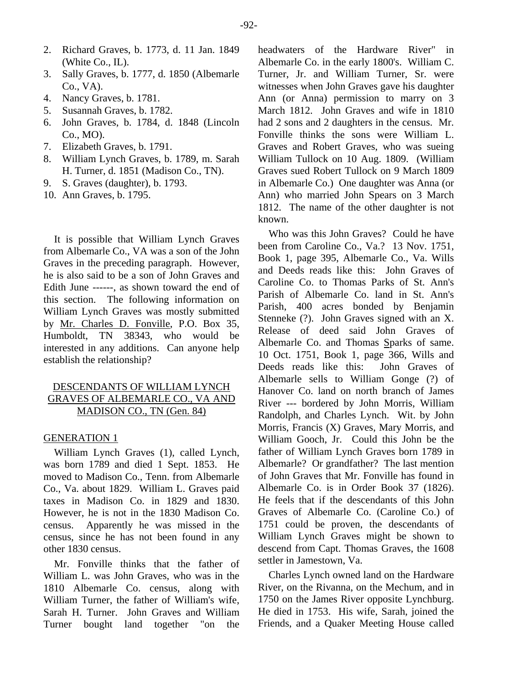- 2. Richard Graves, b. 1773, d. 11 Jan. 1849 (White Co., IL).
- 3. Sally Graves, b. 1777, d. 1850 (Albemarle Co., VA).
- 4. Nancy Graves, b. 1781.
- 5. Susannah Graves, b. 1782.
- 6. John Graves, b. 1784, d. 1848 (Lincoln Co., MO).
- 7. Elizabeth Graves, b. 1791.
- 8. William Lynch Graves, b. 1789, m. Sarah H. Turner, d. 1851 (Madison Co., TN).
- 9. S. Graves (daughter), b. 1793.
- 10. Ann Graves, b. 1795.

It is possible that William Lynch Graves from Albemarle Co., VA was a son of the John Graves in the preceding paragraph. However, he is also said to be a son of John Graves and Edith June ------, as shown toward the end of this section. The following information on William Lynch Graves was mostly submitted by Mr. Charles D. Fonville, P.O. Box 35, Humboldt, TN 38343, who would be interested in any additions. Can anyone help establish the relationship?

# DESCENDANTS OF WILLIAM LYNCH GRAVES OF ALBEMARLE CO., VA AND MADISON CO., TN (Gen. 84)

## GENERATION 1

William Lynch Graves (1), called Lynch, was born 1789 and died 1 Sept. 1853. He moved to Madison Co., Tenn. from Albemarle Co., Va. about 1829. William L. Graves paid taxes in Madison Co. in 1829 and 1830. However, he is not in the 1830 Madison Co. census. Apparently he was missed in the census, since he has not been found in any other 1830 census.

Mr. Fonville thinks that the father of William L. was John Graves, who was in the 1810 Albemarle Co. census, along with William Turner, the father of William's wife, Sarah H. Turner. John Graves and William Turner bought land together "on the

headwaters of the Hardware River" in Albemarle Co. in the early 1800's. William C. Turner, Jr. and William Turner, Sr. were witnesses when John Graves gave his daughter Ann (or Anna) permission to marry on 3 March 1812. John Graves and wife in 1810 had 2 sons and 2 daughters in the census. Mr. Fonville thinks the sons were William L. Graves and Robert Graves, who was sueing William Tullock on 10 Aug. 1809. (William Graves sued Robert Tullock on 9 March 1809 in Albemarle Co.) One daughter was Anna (or Ann) who married John Spears on 3 March 1812. The name of the other daughter is not known.

Who was this John Graves? Could he have been from Caroline Co., Va.? 13 Nov. 1751, Book 1, page 395, Albemarle Co., Va. Wills and Deeds reads like this: John Graves of Caroline Co. to Thomas Parks of St. Ann's Parish of Albemarle Co. land in St. Ann's Parish, 400 acres bonded by Benjamin Stenneke (?). John Graves signed with an X. Release of deed said John Graves of Albemarle Co. and Thomas Sparks of same. 10 Oct. 1751, Book 1, page 366, Wills and Deeds reads like this: John Graves of Albemarle sells to William Gonge (?) of Hanover Co. land on north branch of James River --- bordered by John Morris, William Randolph, and Charles Lynch. Wit. by John Morris, Francis (X) Graves, Mary Morris, and William Gooch, Jr. Could this John be the father of William Lynch Graves born 1789 in Albemarle? Or grandfather? The last mention of John Graves that Mr. Fonville has found in Albemarle Co. is in Order Book 37 (1826). He feels that if the descendants of this John Graves of Albemarle Co. (Caroline Co.) of 1751 could be proven, the descendants of William Lynch Graves might be shown to descend from Capt. Thomas Graves, the 1608 settler in Jamestown, Va.

Charles Lynch owned land on the Hardware River, on the Rivanna, on the Mechum, and in 1750 on the James River opposite Lynchburg. He died in 1753. His wife, Sarah, joined the Friends, and a Quaker Meeting House called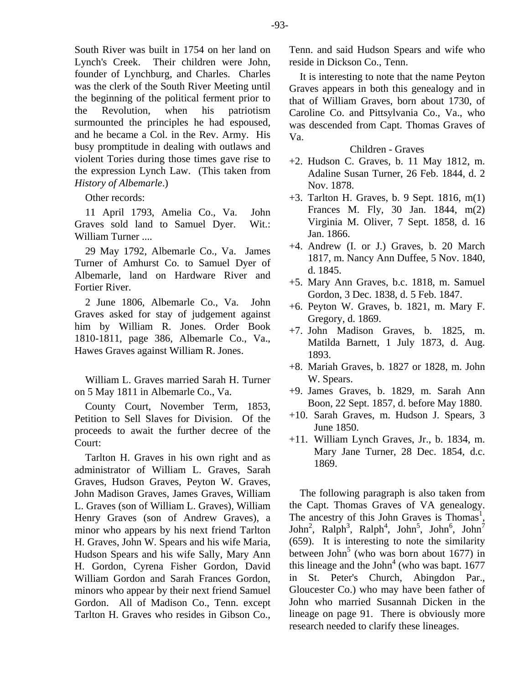South River was built in 1754 on her land on Lynch's Creek. Their children were John, founder of Lynchburg, and Charles. Charles was the clerk of the South River Meeting until the beginning of the political ferment prior to the Revolution, when his patriotism surmounted the principles he had espoused, and he became a Col. in the Rev. Army. His busy promptitude in dealing with outlaws and violent Tories during those times gave rise to the expression Lynch Law. (This taken from *History of Albemarle*.)

## Other records:

11 April 1793, Amelia Co., Va. John Graves sold land to Samuel Dyer. Wit.: William Turner ....

29 May 1792, Albemarle Co., Va. James Turner of Amhurst Co. to Samuel Dyer of Albemarle, land on Hardware River and Fortier River.

2 June 1806, Albemarle Co., Va. John Graves asked for stay of judgement against him by William R. Jones. Order Book 1810-1811, page 386, Albemarle Co., Va., Hawes Graves against William R. Jones.

William L. Graves married Sarah H. Turner on 5 May 1811 in Albemarle Co., Va.

County Court, November Term, 1853, Petition to Sell Slaves for Division. Of the proceeds to await the further decree of the Court:

Tarlton H. Graves in his own right and as administrator of William L. Graves, Sarah Graves, Hudson Graves, Peyton W. Graves, John Madison Graves, James Graves, William L. Graves (son of William L. Graves), William Henry Graves (son of Andrew Graves), a minor who appears by his next friend Tarlton H. Graves, John W. Spears and his wife Maria, Hudson Spears and his wife Sally, Mary Ann H. Gordon, Cyrena Fisher Gordon, David William Gordon and Sarah Frances Gordon, minors who appear by their next friend Samuel Gordon. All of Madison Co., Tenn. except Tarlton H. Graves who resides in Gibson Co.,

Tenn. and said Hudson Spears and wife who reside in Dickson Co., Tenn.

It is interesting to note that the name Peyton Graves appears in both this genealogy and in that of William Graves, born about 1730, of Caroline Co. and Pittsylvania Co., Va., who was descended from Capt. Thomas Graves of Va.

# Children - Graves

- +2. Hudson C. Graves, b. 11 May 1812, m. Adaline Susan Turner, 26 Feb. 1844, d. 2 Nov. 1878.
- +3. Tarlton H. Graves, b. 9 Sept. 1816, m(1) Frances M. Fly, 30 Jan. 1844, m(2) Virginia M. Oliver, 7 Sept. 1858, d. 16 Jan. 1866.
- +4. Andrew (I. or J.) Graves, b. 20 March 1817, m. Nancy Ann Duffee, 5 Nov. 1840, d. 1845.
- +5. Mary Ann Graves, b.c. 1818, m. Samuel Gordon, 3 Dec. 1838, d. 5 Feb. 1847.
- +6. Peyton W. Graves, b. 1821, m. Mary F. Gregory, d. 1869.
- +7. John Madison Graves, b. 1825, m. Matilda Barnett, 1 July 1873, d. Aug. 1893.
- +8. Mariah Graves, b. 1827 or 1828, m. John W. Spears.
- +9. James Graves, b. 1829, m. Sarah Ann Boon, 22 Sept. 1857, d. before May 1880.
- +10. Sarah Graves, m. Hudson J. Spears, 3 June 1850.
- +11. William Lynch Graves, Jr., b. 1834, m. Mary Jane Turner, 28 Dec. 1854, d.c. 1869.

The following paragraph is also taken from the Capt. Thomas Graves of VA genealogy. The ancestry of this John Graves is Thomas<sup>1</sup>, John<sup>2</sup>, Ralph<sup>3</sup>, Ralph<sup>4</sup>, John<sup>5</sup>, John<sup>6</sup>, John<sup>7</sup> (659). It is interesting to note the similarity between John<sup>5</sup> (who was born about 1677) in this lineage and the John<sup>4</sup> (who was bapt.  $1677$ in St. Peter's Church, Abingdon Par., Gloucester Co.) who may have been father of John who married Susannah Dicken in the lineage on page 91. There is obviously more research needed to clarify these lineages.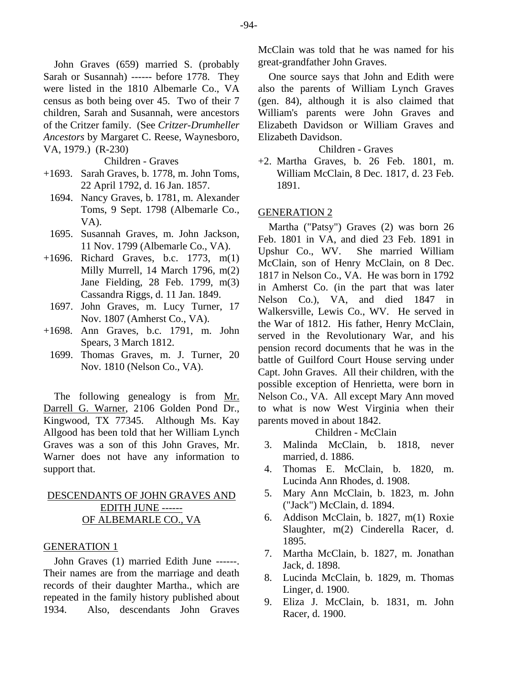John Graves (659) married S. (probably Sarah or Susannah) ------ before 1778. They were listed in the 1810 Albemarle Co., VA census as both being over 45. Two of their 7 children, Sarah and Susannah, were ancestors of the Critzer family. (See *Critzer-Drumheller Ancestors* by Margaret C. Reese, Waynesboro, VA, 1979.) (R-230)

Children - Graves

- +1693. Sarah Graves, b. 1778, m. John Toms, 22 April 1792, d. 16 Jan. 1857.
	- 1694. Nancy Graves, b. 1781, m. Alexander Toms, 9 Sept. 1798 (Albemarle Co., VA).
	- 1695. Susannah Graves, m. John Jackson, 11 Nov. 1799 (Albemarle Co., VA).
- +1696. Richard Graves, b.c. 1773, m(1) Milly Murrell, 14 March 1796, m(2) Jane Fielding, 28 Feb. 1799, m(3) Cassandra Riggs, d. 11 Jan. 1849.
	- 1697. John Graves, m. Lucy Turner, 17 Nov. 1807 (Amherst Co., VA).
- +1698. Ann Graves, b.c. 1791, m. John Spears, 3 March 1812.
- 1699. Thomas Graves, m. J. Turner, 20 Nov. 1810 (Nelson Co., VA).

The following genealogy is from Mr. Darrell G. Warner, 2106 Golden Pond Dr., Kingwood, TX 77345. Although Ms. Kay Allgood has been told that her William Lynch Graves was a son of this John Graves, Mr. Warner does not have any information to support that.

# DESCENDANTS OF JOHN GRAVES AND EDITH JUNE ------ OF ALBEMARLE CO., VA

## GENERATION 1

John Graves (1) married Edith June ------. Their names are from the marriage and death records of their daughter Martha., which are repeated in the family history published about 1934. Also, descendants John Graves

McClain was told that he was named for his great-grandfather John Graves.

One source says that John and Edith were also the parents of William Lynch Graves (gen. 84), although it is also claimed that William's parents were John Graves and Elizabeth Davidson or William Graves and Elizabeth Davidson.

## Children - Graves

+2. Martha Graves, b. 26 Feb. 1801, m. William McClain, 8 Dec. 1817, d. 23 Feb. 1891.

#### GENERATION 2

Martha ("Patsy") Graves (2) was born 26 Feb. 1801 in VA, and died 23 Feb. 1891 in Upshur Co., WV. She married William McClain, son of Henry McClain, on 8 Dec. 1817 in Nelson Co., VA. He was born in 1792 in Amherst Co. (in the part that was later Nelson Co.), VA, and died 1847 in Walkersville, Lewis Co., WV. He served in the War of 1812. His father, Henry McClain, served in the Revolutionary War, and his pension record documents that he was in the battle of Guilford Court House serving under Capt. John Graves. All their children, with the possible exception of Henrietta, were born in Nelson Co., VA. All except Mary Ann moved to what is now West Virginia when their parents moved in about 1842.

Children - McClain

- 3. Malinda McClain, b. 1818, never married, d. 1886.
- 4. Thomas E. McClain, b. 1820, m. Lucinda Ann Rhodes, d. 1908.
- 5. Mary Ann McClain, b. 1823, m. John ("Jack") McClain, d. 1894.
- 6. Addison McClain, b. 1827, m(1) Roxie Slaughter, m(2) Cinderella Racer, d. 1895.
- 7. Martha McClain, b. 1827, m. Jonathan Jack, d. 1898.
- 8. Lucinda McClain, b. 1829, m. Thomas Linger, d. 1900.
- 9. Eliza J. McClain, b. 1831, m. John Racer, d. 1900.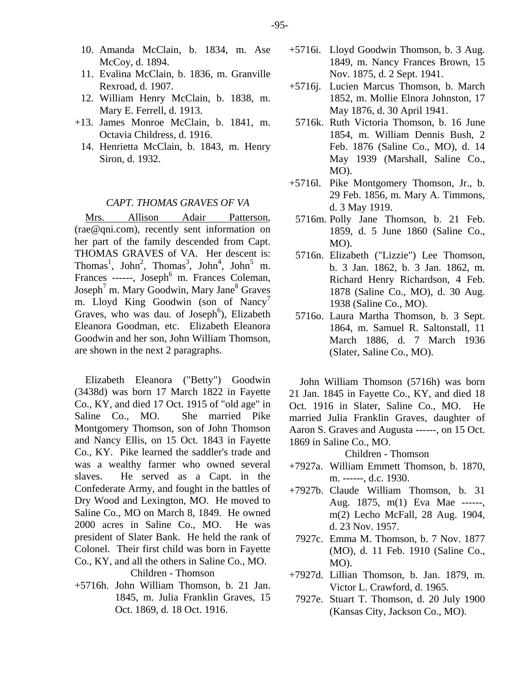- 10. Amanda McClain, b. 1834, m. Ase McCoy, d. 1894.
- 11. Evalina McClain, b. 1836, m. Granville Rexroad, d. 1907.
- 12. William Henry McClain, b. 1838, m. Mary E. Ferrell, d. 1913.
- +13. James Monroe McClain, b. 1841, m. Octavia Childress, d. 1916.
	- 14. Henrietta McClain, b. 1843, m. Henry Siron, d. 1932.

#### *CAPT. THOMAS GRAVES OF VA*

Mrs. Allison Adair Patterson, (rae@qni.com), recently sent information on her part of the family descended from Capt. THOMAS GRAVES of VA. Her descent is: Thomas<sup>1</sup>, John<sup>2</sup>, Thomas<sup>3</sup>, John<sup>4</sup>, John<sup>5</sup> m. Frances ------, Joseph<sup>6</sup> m. Frances Coleman, Joseph<sup>7</sup> m. Mary Goodwin, Mary Jane<sup>8</sup> Graves m. Lloyd King Goodwin (son of Nancy<sup>7</sup> Graves, who was dau. of Joseph<sup>6</sup>), Elizabeth Eleanora Goodman, etc. Elizabeth Eleanora Goodwin and her son, John William Thomson, are shown in the next 2 paragraphs.

Elizabeth Eleanora ("Betty") Goodwin (3438d) was born 17 March 1822 in Fayette Co., KY, and died 17 Oct. 1915 of "old age" in Saline Co., MO. She married Pike Montgomery Thomson, son of John Thomson and Nancy Ellis, on 15 Oct. 1843 in Fayette Co., KY. Pike learned the saddler's trade and was a wealthy farmer who owned several slaves. He served as a Capt. in the Confederate Army, and fought in the battles of Dry Wood and Lexington, MO. He moved to Saline Co., MO on March 8, 1849. He owned 2000 acres in Saline Co., MO. He was president of Slater Bank. He held the rank of Colonel. Their first child was born in Fayette Co., KY, and all the others in Saline Co., MO.

Children - Thomson

+5716h. John William Thomson, b. 21 Jan. 1845, m. Julia Franklin Graves, 15 Oct. 1869, d. 18 Oct. 1916.

- +5716i. Lloyd Goodwin Thomson, b. 3 Aug. 1849, m. Nancy Frances Brown, 15 Nov. 1875, d. 2 Sept. 1941.
- +5716j. Lucien Marcus Thomson, b. March 1852, m. Mollie Elnora Johnston, 17 May 1876, d. 30 April 1941.
- 5716k. Ruth Victoria Thomson, b. 16 June 1854, m. William Dennis Bush, 2 Feb. 1876 (Saline Co., MO), d. 14 May 1939 (Marshall, Saline Co., MO).
- +5716l. Pike Montgomery Thomson, Jr., b. 29 Feb. 1856, m. Mary A. Timmons, d. 3 May 1919.
	- 5716m. Polly Jane Thomson, b. 21 Feb. 1859, d. 5 June 1860 (Saline Co., MO).
- 5716n. Elizabeth ("Lizzie") Lee Thomson, b. 3 Jan. 1862, b. 3 Jan. 1862, m. Richard Henry Richardson, 4 Feb. 1878 (Saline Co., MO), d. 30 Aug. 1938 (Saline Co., MO).
- 5716o. Laura Martha Thomson, b. 3 Sept. 1864, m. Samuel R. Saltonstall, 11 March 1886, d. 7 March 1936 (Slater, Saline Co., MO).

John William Thomson (5716h) was born 21 Jan. 1845 in Fayette Co., KY, and died 18 Oct. 1916 in Slater, Saline Co., MO. He married Julia Franklin Graves, daughter of Aaron S. Graves and Augusta ------, on 15 Oct. 1869 in Saline Co., MO.

Children - Thomson

- +7927a. William Emmett Thomson, b. 1870, m. ------, d.c. 1930.
- +7927b. Claude William Thomson, b. 31 Aug. 1875, m(1) Eva Mae ------, m(2) Lecho McFall, 28 Aug. 1904, d. 23 Nov. 1957.
- 7927c. Emma M. Thomson, b. 7 Nov. 1877 (MO), d. 11 Feb. 1910 (Saline Co., MO).
- +7927d. Lillian Thomson, b. Jan. 1879, m. Victor L. Crawford, d. 1965.
- 7927e. Stuart T. Thomson, d. 20 July 1900 (Kansas City, Jackson Co., MO).